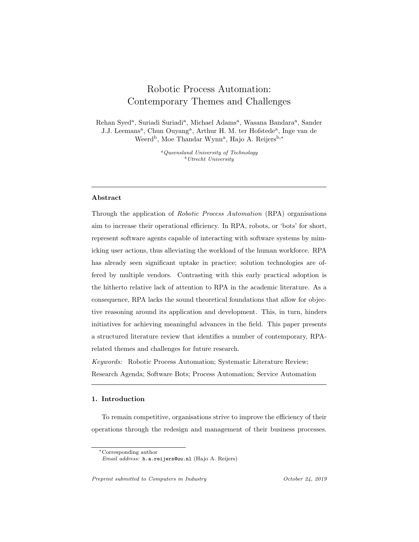# Robotic Process Automation: Contemporary Themes and Challenges

Rehan Syed<sup>a</sup>, Suriadi Suriadi<sup>a</sup>, Michael Adams<sup>a</sup>, Wasana Bandara<sup>a</sup>, Sander J.J. Leemans<sup>a</sup>, Chun Ouyang<sup>a</sup>, Arthur H. M. ter Hofstede<sup>a</sup>, Inge van de Weerd<sup>b</sup>, Moe Thandar Wynn<sup>a</sup>, Hajo A. Reijers<sup>b,\*</sup>

> <sup>a</sup>Queensland University of Technology <sup>b</sup>Utrecht University

# Abstract

Through the application of Robotic Process Automation (RPA) organisations aim to increase their operational efficiency. In RPA, robots, or 'bots' for short, represent software agents capable of interacting with software systems by mimicking user actions, thus alleviating the workload of the human workforce. RPA has already seen significant uptake in practice; solution technologies are offered by multiple vendors. Contrasting with this early practical adoption is the hitherto relative lack of attention to RPA in the academic literature. As a consequence, RPA lacks the sound theoretical foundations that allow for objective reasoning around its application and development. This, in turn, hinders initiatives for achieving meaningful advances in the field. This paper presents a structured literature review that identifies a number of contemporary, RPArelated themes and challenges for future research.

Keywords: Robotic Process Automation; Systematic Literature Review; Research Agenda; Software Bots; Process Automation; Service Automation

# 1. Introduction

To remain competitive, organisations strive to improve the efficiency of their operations through the redesign and management of their business processes.

<sup>∗</sup>Corresponding author Email address: h.a.reijers@uu.nl (Hajo A. Reijers)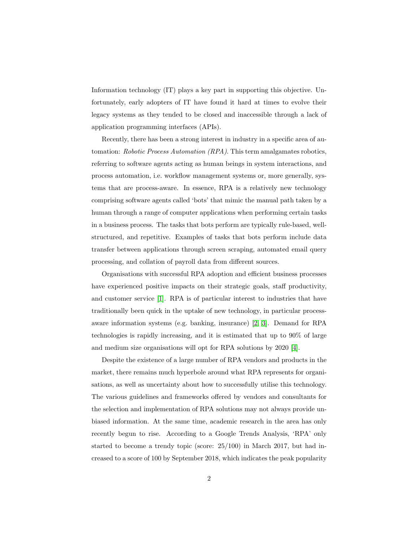Information technology (IT) plays a key part in supporting this objective. Unfortunately, early adopters of IT have found it hard at times to evolve their legacy systems as they tended to be closed and inaccessible through a lack of application programming interfaces (APIs).

Recently, there has been a strong interest in industry in a specific area of automation: Robotic Process Automation (RPA). This term amalgamates robotics, referring to software agents acting as human beings in system interactions, and process automation, i.e. workflow management systems or, more generally, systems that are process-aware. In essence, RPA is a relatively new technology comprising software agents called 'bots' that mimic the manual path taken by a human through a range of computer applications when performing certain tasks in a business process. The tasks that bots perform are typically rule-based, wellstructured, and repetitive. Examples of tasks that bots perform include data transfer between applications through screen scraping, automated email query processing, and collation of payroll data from different sources.

Organisations with successful RPA adoption and efficient business processes have experienced positive impacts on their strategic goals, staff productivity, and customer service [\[1\]](#page-39-0). RPA is of particular interest to industries that have traditionally been quick in the uptake of new technology, in particular processaware information systems (e.g. banking, insurance) [\[2,](#page-39-1) [3\]](#page-39-2). Demand for RPA technologies is rapidly increasing, and it is estimated that up to 90% of large and medium size organisations will opt for RPA solutions by 2020 [\[4\]](#page-39-3).

Despite the existence of a large number of RPA vendors and products in the market, there remains much hyperbole around what RPA represents for organisations, as well as uncertainty about how to successfully utilise this technology. The various guidelines and frameworks offered by vendors and consultants for the selection and implementation of RPA solutions may not always provide unbiased information. At the same time, academic research in the area has only recently begun to rise. According to a Google Trends Analysis, 'RPA' only started to become a trendy topic (score: 25/100) in March 2017, but had increased to a score of 100 by September 2018, which indicates the peak popularity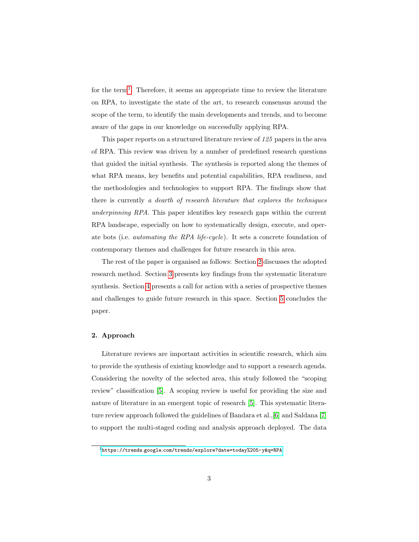for the term<sup>[1](#page-2-0)</sup>. Therefore, it seems an appropriate time to review the literature on RPA, to investigate the state of the art, to research consensus around the scope of the term, to identify the main developments and trends, and to become aware of the gaps in our knowledge on successfully applying RPA.

This paper reports on a structured literature review of 125 papers in the area of RPA. This review was driven by a number of predefined research questions that guided the initial synthesis. The synthesis is reported along the themes of what RPA means, key benefits and potential capabilities, RPA readiness, and the methodologies and technologies to support RPA. The findings show that there is currently a dearth of research literature that explores the techniques underpinning RPA. This paper identifies key research gaps within the current RPA landscape, especially on how to systematically design, execute, and operate bots (i.e. automating the RPA life-cycle). It sets a concrete foundation of contemporary themes and challenges for future research in this area.

The rest of the paper is organised as follows: Section [2](#page-2-1) discusses the adopted research method. Section [3](#page-6-0) presents key findings from the systematic literature synthesis. Section [4](#page-31-0) presents a call for action with a series of prospective themes and challenges to guide future research in this space. Section [5](#page-38-0) concludes the paper.

# <span id="page-2-1"></span>2. Approach

Literature reviews are important activities in scientific research, which aim to provide the synthesis of existing knowledge and to support a research agenda. Considering the novelty of the selected area, this study followed the "scoping review" classification [\[5\]](#page-39-4). A scoping review is useful for providing the size and nature of literature in an emergent topic of research [\[5\]](#page-39-4). This systematic literature review approach followed the guidelines of Bandara et al.,[\[6\]](#page-39-5) and Saldana [\[7\]](#page-39-6) to support the multi-staged coding and analysis approach deployed. The data

<span id="page-2-0"></span><sup>1</sup>https://trends.google.[com/trends/explore?date=today%205-y&q=RPA](https://trends.google.com/trends/explore?date=today%205-y&q=RPA)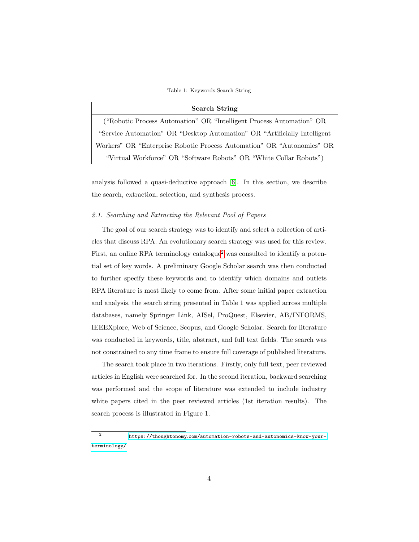Table 1: Keywords Search String

#### Search String

("Robotic Process Automation" OR "Intelligent Process Automation" OR "Service Automation" OR "Desktop Automation" OR "Artificially Intelligent Workers" OR "Enterprise Robotic Process Automation" OR "Autonomics" OR "Virtual Workforce" OR "Software Robots" OR "White Collar Robots")

analysis followed a quasi-deductive approach [\[6\]](#page-39-5). In this section, we describe the search, extraction, selection, and synthesis process.

# 2.1. Searching and Extracting the Relevant Pool of Papers

The goal of our search strategy was to identify and select a collection of articles that discuss RPA. An evolutionary search strategy was used for this review. First, an online RPA terminology catalogue<sup>[2](#page-3-0)</sup> was consulted to identify a potential set of key words. A preliminary Google Scholar search was then conducted to further specify these keywords and to identify which domains and outlets RPA literature is most likely to come from. After some initial paper extraction and analysis, the search string presented in Table 1 was applied across multiple databases, namely Springer Link, AISel, ProQuest, Elsevier, AB/INFORMS, IEEEXplore, Web of Science, Scopus, and Google Scholar. Search for literature was conducted in keywords, title, abstract, and full text fields. The search was not constrained to any time frame to ensure full coverage of published literature.

The search took place in two iterations. Firstly, only full text, peer reviewed articles in English were searched for. In the second iteration, backward searching was performed and the scope of literature was extended to include industry white papers cited in the peer reviewed articles (1st iteration results). The search process is illustrated in Figure 1.

<span id="page-3-0"></span><sup>2</sup> https://thoughtonomy.[com/automation-robots-and-autonomics-know-your](https://thoughtonomy.com/automation-robots-and-autonomics-know-your-terminology/)[terminology/](https://thoughtonomy.com/automation-robots-and-autonomics-know-your-terminology/)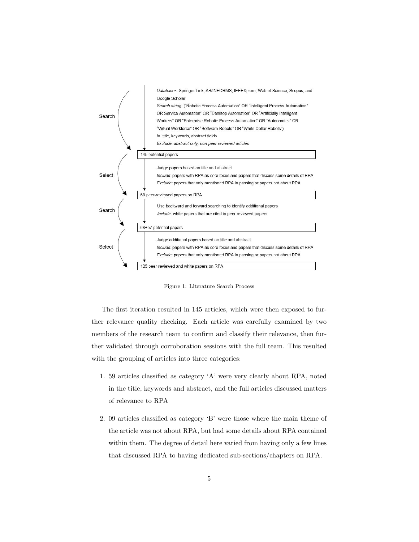<span id="page-4-0"></span>

Figure 1: Literature Search Process

The first iteration resulted in 145 articles, which were then exposed to further relevance quality checking. Each article was carefully examined by two members of the research team to confirm and classify their relevance, then further validated through corroboration sessions with the full team. This resulted with the grouping of articles into three categories:

- 1. 59 articles classified as category 'A' were very clearly about RPA, noted in the title, keywords and abstract, and the full articles discussed matters of relevance to RPA
- 2. 09 articles classified as category 'B' were those where the main theme of the article was not about RPA, but had some details about RPA contained within them. The degree of detail here varied from having only a few lines that discussed RPA to having dedicated sub-sections/chapters on RPA.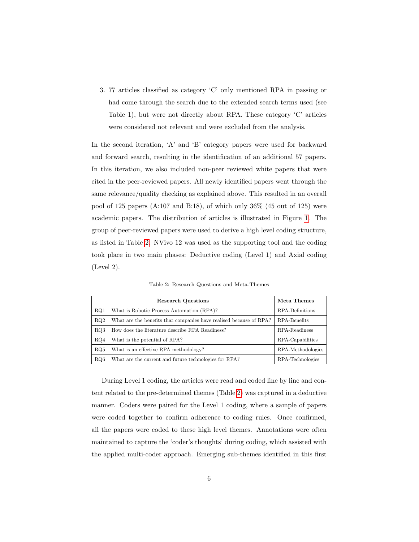3. 77 articles classified as category 'C' only mentioned RPA in passing or had come through the search due to the extended search terms used (see Table 1), but were not directly about RPA. These category 'C' articles were considered not relevant and were excluded from the analysis.

In the second iteration, 'A' and 'B' category papers were used for backward and forward search, resulting in the identification of an additional 57 papers. In this iteration, we also included non-peer reviewed white papers that were cited in the peer-reviewed papers. All newly identified papers went through the same relevance/quality checking as explained above. This resulted in an overall pool of 125 papers  $(A:107 \text{ and } B:18)$ , of which only 36% (45 out of 125) were academic papers. The distribution of articles is illustrated in Figure [1.](#page-4-0) The group of peer-reviewed papers were used to derive a high level coding structure, as listed in Table [2.](#page-5-0) NVivo 12 was used as the supporting tool and the coding took place in two main phases: Deductive coding (Level 1) and Axial coding (Level 2).

Table 2: Research Questions and Meta-Themes

<span id="page-5-0"></span>

|     | <b>Research Questions</b>                                          | Meta Themes       |
|-----|--------------------------------------------------------------------|-------------------|
| RQ1 | What is Robotic Process Automation (RPA)?                          | RPA-Definitions   |
| RO2 | What are the benefits that companies have realised because of RPA? | RPA-Benefits      |
| RO3 | How does the literature describe RPA Readiness?                    | RPA-Readiness     |
| RO4 | What is the potential of RPA?                                      | RPA-Capabilities  |
| RO5 | What is an effective RPA methodology?                              | RPA-Methodologies |
| RO6 | What are the current and future technologies for RPA?              | RPA-Technologies  |

During Level 1 coding, the articles were read and coded line by line and content related to the pre-determined themes (Table [2\)](#page-5-0) was captured in a deductive manner. Coders were paired for the Level 1 coding, where a sample of papers were coded together to confirm adherence to coding rules. Once confirmed, all the papers were coded to these high level themes. Annotations were often maintained to capture the 'coder's thoughts' during coding, which assisted with the applied multi-coder approach. Emerging sub-themes identified in this first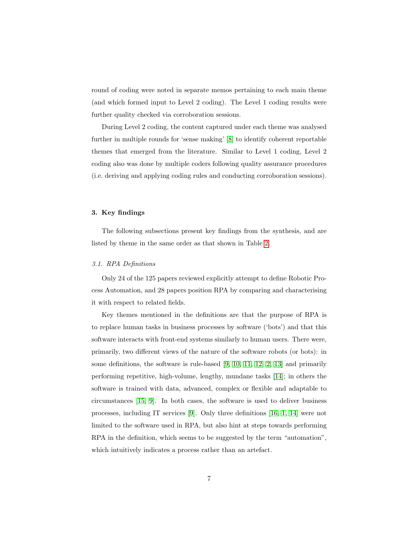round of coding were noted in separate memos pertaining to each main theme (and which formed input to Level 2 coding). The Level 1 coding results were further quality checked via corroboration sessions.

During Level 2 coding, the content captured under each theme was analysed further in multiple rounds for 'sense making' [\[8\]](#page-39-7) to identify coherent reportable themes that emerged from the literature. Similar to Level 1 coding, Level 2 coding also was done by multiple coders following quality assurance procedures (i.e. deriving and applying coding rules and conducting corroboration sessions).

### <span id="page-6-0"></span>3. Key findings

The following subsections present key findings from the synthesis, and are listed by theme in the same order as that shown in Table [2.](#page-5-0)

# 3.1. RPA Definitions

Only 24 of the 125 papers reviewed explicitly attempt to define Robotic Process Automation, and 28 papers position RPA by comparing and characterising it with respect to related fields.

Key themes mentioned in the definitions are that the purpose of RPA is to replace human tasks in business processes by software ('bots') and that this software interacts with front-end systems similarly to human users. There were, primarily, two different views of the nature of the software robots (or bots): in some definitions, the software is rule-based [\[9,](#page-39-8) [10,](#page-40-0) [11,](#page-40-1) [12,](#page-40-2) [2,](#page-39-1) [13\]](#page-40-3) and primarily performing repetitive, high-volume, lengthy, mundane tasks [\[14\]](#page-40-4); in others the software is trained with data, advanced, complex or flexible and adaptable to circumstances [\[15,](#page-40-5) [9\]](#page-39-8). In both cases, the software is used to deliver business processes, including IT services [\[9\]](#page-39-8). Only three definitions [\[16,](#page-40-6) [1,](#page-39-0) [14\]](#page-40-4) were not limited to the software used in RPA, but also hint at steps towards performing RPA in the definition, which seems to be suggested by the term "automation", which intuitively indicates a process rather than an artefact.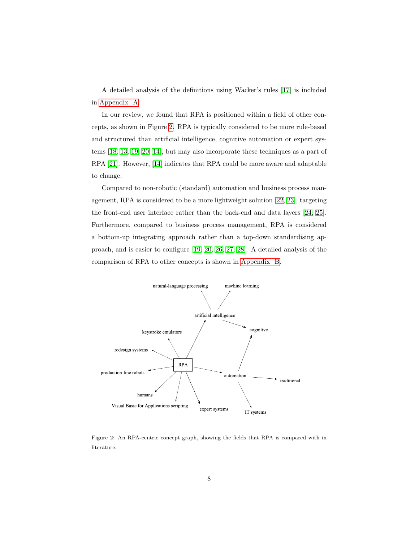A detailed analysis of the definitions using Wacker's rules [\[17\]](#page-40-7) is included in [Appendix A.](#page-49-0)

In our review, we found that RPA is positioned within a field of other concepts, as shown in Figure [2.](#page-7-0) RPA is typically considered to be more rule-based and structured than artificial intelligence, cognitive automation or expert systems [\[18,](#page-40-8) [13,](#page-40-3) [19,](#page-41-0) [20,](#page-41-1) [14\]](#page-40-4), but may also incorporate these techniques as a part of RPA [\[21\]](#page-41-2). However, [\[14\]](#page-40-4) indicates that RPA could be more aware and adaptable to change.

Compared to non-robotic (standard) automation and business process management, RPA is considered to be a more lightweight solution [\[22,](#page-41-3) [23\]](#page-41-4), targeting the front-end user interface rather than the back-end and data layers [\[24,](#page-41-5) [25\]](#page-41-6). Furthermore, compared to business process management, RPA is considered a bottom-up integrating approach rather than a top-down standardising approach, and is easier to configure [\[19,](#page-41-0) [20,](#page-41-1) [26,](#page-41-7) [27,](#page-41-8) [28\]](#page-41-9). A detailed analysis of the comparison of RPA to other concepts is shown in [Appendix B.](#page-52-0)

<span id="page-7-0"></span>

Figure 2: An RPA-centric concept graph, showing the fields that RPA is compared with in literature.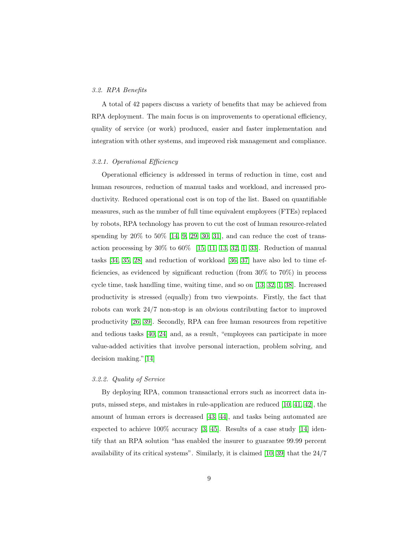### <span id="page-8-0"></span>3.2. RPA Benefits

A total of 42 papers discuss a variety of benefits that may be achieved from RPA deployment. The main focus is on improvements to operational efficiency, quality of service (or work) produced, easier and faster implementation and integration with other systems, and improved risk management and compliance.

## 3.2.1. Operational Efficiency

Operational efficiency is addressed in terms of reduction in time, cost and human resources, reduction of manual tasks and workload, and increased productivity. Reduced operational cost is on top of the list. Based on quantifiable measures, such as the number of full time equivalent employees (FTEs) replaced by robots, RPA technology has proven to cut the cost of human resource-related spending by  $20\%$  to  $50\%$  [\[14,](#page-40-4) [9,](#page-39-8) [29,](#page-41-10) [30,](#page-42-0) [31\]](#page-42-1), and can reduce the cost of transaction processing by  $30\%$  to  $60\%$  [\[15,](#page-40-5) [11,](#page-40-1) [13,](#page-40-3) [32,](#page-42-2) [1,](#page-39-0) [33\]](#page-42-3). Reduction of manual tasks [\[34,](#page-42-4) [35,](#page-42-5) [28\]](#page-41-9) and reduction of workload [\[36,](#page-42-6) [37\]](#page-42-7) have also led to time efficiencies, as evidenced by significant reduction (from 30% to 70%) in process cycle time, task handling time, waiting time, and so on [\[13,](#page-40-3) [32,](#page-42-2) [1,](#page-39-0) [38\]](#page-42-8). Increased productivity is stressed (equally) from two viewpoints. Firstly, the fact that robots can work 24/7 non-stop is an obvious contributing factor to improved productivity [\[26,](#page-41-7) [39\]](#page-43-0). Secondly, RPA can free human resources from repetitive and tedious tasks [\[40,](#page-43-1) [24\]](#page-41-5) and, as a result, "employees can participate in more value-added activities that involve personal interaction, problem solving, and decision making."[\[14\]](#page-40-4)

### 3.2.2. Quality of Service

By deploying RPA, common transactional errors such as incorrect data inputs, missed steps, and mistakes in rule-application are reduced [\[10,](#page-40-0) [41,](#page-43-2) [42\]](#page-43-3), the amount of human errors is decreased [\[43,](#page-43-4) [44\]](#page-43-5), and tasks being automated are expected to achieve 100% accuracy [\[3,](#page-39-2) [45\]](#page-43-6). Results of a case study [\[14\]](#page-40-4) identify that an RPA solution "has enabled the insurer to guarantee 99.99 percent availability of its critical systems". Similarly, it is claimed [\[10,](#page-40-0) [39\]](#page-43-0) that the 24/7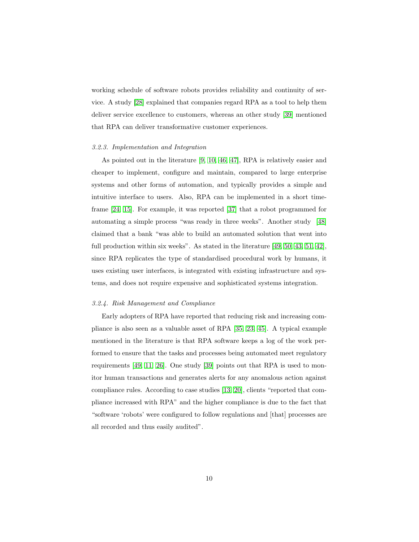working schedule of software robots provides reliability and continuity of service. A study [\[28\]](#page-41-9) explained that companies regard RPA as a tool to help them deliver service excellence to customers, whereas an other study [\[39\]](#page-43-0) mentioned that RPA can deliver transformative customer experiences.

#### 3.2.3. Implementation and Integration

As pointed out in the literature [\[9,](#page-39-8) [10,](#page-40-0) [46,](#page-43-7) [47\]](#page-43-8), RPA is relatively easier and cheaper to implement, configure and maintain, compared to large enterprise systems and other forms of automation, and typically provides a simple and intuitive interface to users. Also, RPA can be implemented in a short timeframe [\[24,](#page-41-5) [15\]](#page-40-5). For example, it was reported [\[37\]](#page-42-7) that a robot programmed for automating a simple process "was ready in three weeks". Another study [\[48\]](#page-43-9) claimed that a bank "was able to build an automated solution that went into full production within six weeks". As stated in the literature [\[49,](#page-44-0) [50,](#page-44-1) [43,](#page-43-4) [51,](#page-44-2) [42\]](#page-43-3), since RPA replicates the type of standardised procedural work by humans, it uses existing user interfaces, is integrated with existing infrastructure and systems, and does not require expensive and sophisticated systems integration.

#### 3.2.4. Risk Management and Compliance

Early adopters of RPA have reported that reducing risk and increasing compliance is also seen as a valuable asset of RPA [\[35,](#page-42-5) [23,](#page-41-4) [45\]](#page-43-6). A typical example mentioned in the literature is that RPA software keeps a log of the work performed to ensure that the tasks and processes being automated meet regulatory requirements [\[49,](#page-44-0) [11,](#page-40-1) [26\]](#page-41-7). One study [\[39\]](#page-43-0) points out that RPA is used to monitor human transactions and generates alerts for any anomalous action against compliance rules. According to case studies [\[13,](#page-40-3) [20\]](#page-41-1), clients "reported that compliance increased with RPA" and the higher compliance is due to the fact that "software 'robots' were configured to follow regulations and [that] processes are all recorded and thus easily audited".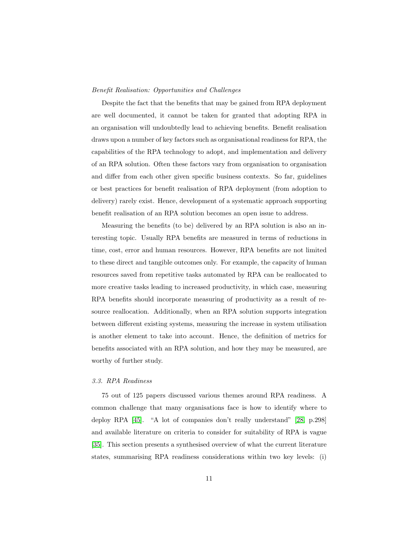# Benefit Realisation: Opportunities and Challenges

Despite the fact that the benefits that may be gained from RPA deployment are well documented, it cannot be taken for granted that adopting RPA in an organisation will undoubtedly lead to achieving benefits. Benefit realisation draws upon a number of key factors such as organisational readiness for RPA, the capabilities of the RPA technology to adopt, and implementation and delivery of an RPA solution. Often these factors vary from organisation to organisation and differ from each other given specific business contexts. So far, guidelines or best practices for benefit realisation of RPA deployment (from adoption to delivery) rarely exist. Hence, development of a systematic approach supporting benefit realisation of an RPA solution becomes an open issue to address.

Measuring the benefits (to be) delivered by an RPA solution is also an interesting topic. Usually RPA benefits are measured in terms of reductions in time, cost, error and human resources. However, RPA benefits are not limited to these direct and tangible outcomes only. For example, the capacity of human resources saved from repetitive tasks automated by RPA can be reallocated to more creative tasks leading to increased productivity, in which case, measuring RPA benefits should incorporate measuring of productivity as a result of resource reallocation. Additionally, when an RPA solution supports integration between different existing systems, measuring the increase in system utilisation is another element to take into account. Hence, the definition of metrics for benefits associated with an RPA solution, and how they may be measured, are worthy of further study.

## <span id="page-10-0"></span>3.3. RPA Readiness

75 out of 125 papers discussed various themes around RPA readiness. A common challenge that many organisations face is how to identify where to deploy RPA [\[45\]](#page-43-6). "A lot of companies don't really understand" [\[28,](#page-41-9) p.298] and available literature on criteria to consider for suitability of RPA is vague [\[35\]](#page-42-5). This section presents a synthesised overview of what the current literature states, summarising RPA readiness considerations within two key levels: (i)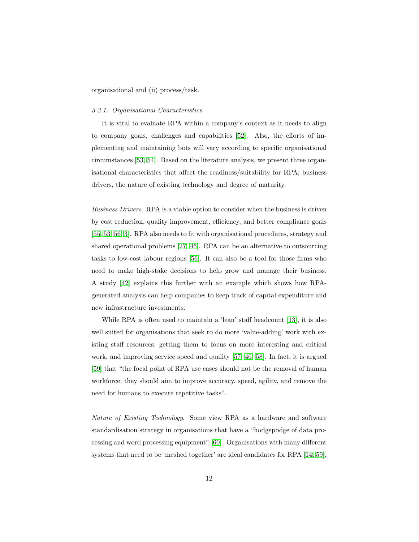organisational and (ii) process/task.

## 3.3.1. Organisational Characteristics

It is vital to evaluate RPA within a company's context as it needs to align to company goals, challenges and capabilities [\[52\]](#page-44-3). Also, the efforts of implementing and maintaining bots will vary according to specific organisational circumstances [\[53,](#page-44-4) [54\]](#page-44-5). Based on the literature analysis, we present three organisational characteristics that affect the readiness/suitability for RPA; business drivers, the nature of existing technology and degree of maturity.

Business Drivers. RPA is a viable option to consider when the business is driven by cost reduction, quality improvement, efficiency, and better compliance goals [\[55,](#page-44-6) [53,](#page-44-4) [56,](#page-44-7) [3\]](#page-39-2). RPA also needs to fit with organisational procedures, strategy and shared operational problems [\[27,](#page-41-8) [46\]](#page-43-7). RPA can be an alternative to outsourcing tasks to low-cost labour regions [\[56\]](#page-44-7). It can also be a tool for those firms who need to make high-stake decisions to help grow and manage their business. A study [\[42\]](#page-43-3) explains this further with an example which shows how RPAgenerated analysis can help companies to keep track of capital expenditure and new infrastructure investments.

While RPA is often used to maintain a 'lean' staff headcount [\[13\]](#page-40-3), it is also well suited for organisations that seek to do more 'value-adding' work with existing staff resources, getting them to focus on more interesting and critical work, and improving service speed and quality [\[57,](#page-44-8) [46,](#page-43-7) [58\]](#page-45-0). In fact, it is argued [\[59\]](#page-45-1) that "the focal point of RPA use cases should not be the removal of human workforce; they should aim to improve accuracy, speed, agility, and remove the need for humans to execute repetitive tasks".

Nature of Existing Technology. Some view RPA as a hardware and software standardisation strategy in organisations that have a "hodgepodge of data processing and word processing equipment" [\[60\]](#page-45-2). Organisations with many different systems that need to be 'meshed together' are ideal candidates for RPA [\[14,](#page-40-4) [59\]](#page-45-1),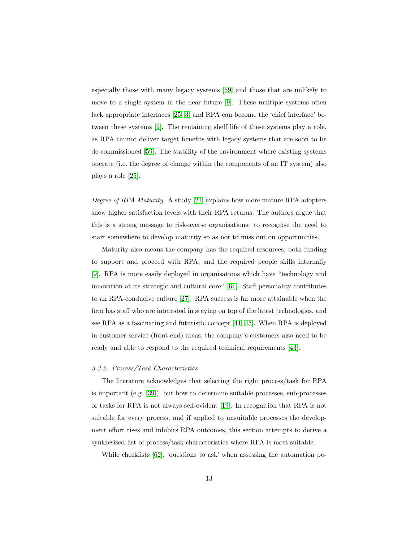especially those with many legacy systems [\[59\]](#page-45-1) and those that are unlikely to move to a single system in the near future [\[9\]](#page-39-8). These multiple systems often lack appropriate interfaces [\[25,](#page-41-6) [3\]](#page-39-2) and RPA can become the 'chief interface' between these systems [\[9\]](#page-39-8). The remaining shelf life of these systems play a role, as RPA cannot deliver target benefits with legacy systems that are soon to be de-commissioned [\[59\]](#page-45-1). The stability of the environment where existing systems operate (i.e. the degree of change within the components of an IT system) also plays a role [\[25\]](#page-41-6).

Degree of RPA Maturity. A study [\[21\]](#page-41-2) explains how more mature RPA adopters show higher satisfaction levels with their RPA returns. The authors argue that this is a strong message to risk-averse organisations: to recognise the need to start somewhere to develop maturity so as not to miss out on opportunities.

Maturity also means the company has the required resources, both funding to support and proceed with RPA, and the required people skills internally [\[9\]](#page-39-8). RPA is more easily deployed in organisations which have "technology and innovation at its strategic and cultural core" [\[61\]](#page-45-3). Staff personality contributes to an RPA-conducive culture [\[27\]](#page-41-8). RPA success is far more attainable when the firm has staff who are interested in staying on top of the latest technologies, and see RPA as a fascinating and futuristic concept [\[41,](#page-43-2) [43\]](#page-43-4). When RPA is deployed in customer service (front-end) areas, the company's customers also need to be ready and able to respond to the required technical requirements [\[43\]](#page-43-4).

#### 3.3.2. Process/Task Characteristics

The literature acknowledges that selecting the right process/task for RPA is important (e.g. [\[39\]](#page-43-0)), but how to determine suitable processes, sub-processes or tasks for RPA is not always self-evident [\[19\]](#page-41-0). In recognition that RPA is not suitable for every process, and if applied to unsuitable processes the development effort rises and inhibits RPA outcomes, this section attempts to derive a synthesised list of process/task characteristics where RPA is most suitable.

While checklists [\[62\]](#page-45-4), 'questions to ask' when assessing the automation po-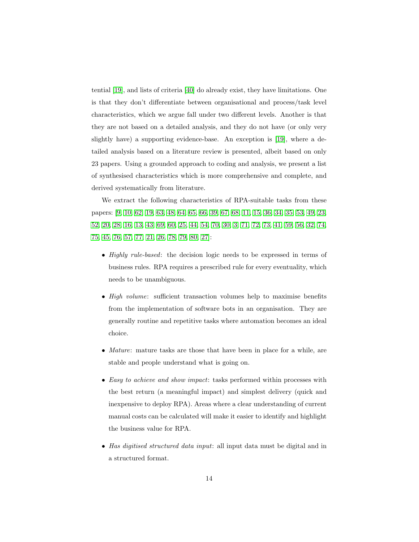tential [\[19\]](#page-41-0), and lists of criteria [\[40\]](#page-43-1) do already exist, they have limitations. One is that they don't differentiate between organisational and process/task level characteristics, which we argue fall under two different levels. Another is that they are not based on a detailed analysis, and they do not have (or only very slightly have) a supporting evidence-base. An exception is [\[19\]](#page-41-0), where a detailed analysis based on a literature review is presented, albeit based on only 23 papers. Using a grounded approach to coding and analysis, we present a list of synthesised characteristics which is more comprehensive and complete, and derived systematically from literature.

We extract the following characteristics of RPA-suitable tasks from these papers: [\[9,](#page-39-8) [10,](#page-40-0) [62,](#page-45-4) [19,](#page-41-0) [63,](#page-45-5) [48,](#page-43-9) [64,](#page-45-6) [65,](#page-45-7) [66,](#page-45-8) [39,](#page-43-0) [67,](#page-46-0) [68,](#page-46-1) [11,](#page-40-1) [15,](#page-40-5) [36,](#page-42-6) [34,](#page-42-4) [35,](#page-42-5) [53,](#page-44-4) [49,](#page-44-0) [23,](#page-41-4) [52,](#page-44-3) [20,](#page-41-1) [28,](#page-41-9) [16,](#page-40-6) [13,](#page-40-3) [43,](#page-43-4) [69,](#page-46-2) [60,](#page-45-2) [25,](#page-41-6) [44,](#page-43-5) [54,](#page-44-5) [70,](#page-46-3) [30,](#page-42-0) [3,](#page-39-2) [71,](#page-46-4) [72,](#page-46-5) [73,](#page-46-6) [41,](#page-43-2) [59,](#page-45-1) [56,](#page-44-7) [32,](#page-42-2) [74,](#page-46-7) [75,](#page-46-8) [45,](#page-43-6) [76,](#page-47-0) [57,](#page-44-8) [77,](#page-47-1) [21,](#page-41-2) [26,](#page-41-7) [78,](#page-47-2) [79,](#page-47-3) [80,](#page-47-4) [27\]](#page-41-8):

- *Highly rule-based*: the decision logic needs to be expressed in terms of business rules. RPA requires a prescribed rule for every eventuality, which needs to be unambiguous.
- High volume: sufficient transaction volumes help to maximise benefits from the implementation of software bots in an organisation. They are generally routine and repetitive tasks where automation becomes an ideal choice.
- Mature: mature tasks are those that have been in place for a while, are stable and people understand what is going on.
- Easy to achieve and show impact: tasks performed within processes with the best return (a meaningful impact) and simplest delivery (quick and inexpensive to deploy RPA). Areas where a clear understanding of current manual costs can be calculated will make it easier to identify and highlight the business value for RPA.
- Has digitised structured data input: all input data must be digital and in a structured format.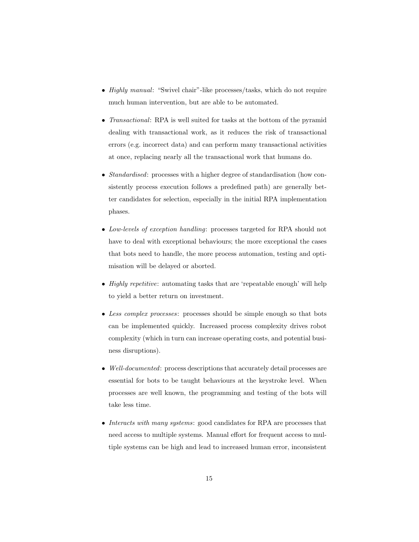- Highly manual: "Swivel chair"-like processes/tasks, which do not require much human intervention, but are able to be automated.
- *Transactional*: RPA is well suited for tasks at the bottom of the pyramid dealing with transactional work, as it reduces the risk of transactional errors (e.g. incorrect data) and can perform many transactional activities at once, replacing nearly all the transactional work that humans do.
- *Standardised*: processes with a higher degree of standardisation (how consistently process execution follows a predefined path) are generally better candidates for selection, especially in the initial RPA implementation phases.
- Low-levels of exception handling: processes targeted for RPA should not have to deal with exceptional behaviours; the more exceptional the cases that bots need to handle, the more process automation, testing and optimisation will be delayed or aborted.
- *Highly repetitive:* automating tasks that are 'repeatable enough' will help to yield a better return on investment.
- Less complex processes: processes should be simple enough so that bots can be implemented quickly. Increased process complexity drives robot complexity (which in turn can increase operating costs, and potential business disruptions).
- Well-documented: process descriptions that accurately detail processes are essential for bots to be taught behaviours at the keystroke level. When processes are well known, the programming and testing of the bots will take less time.
- Interacts with many systems: good candidates for RPA are processes that need access to multiple systems. Manual effort for frequent access to multiple systems can be high and lead to increased human error, inconsistent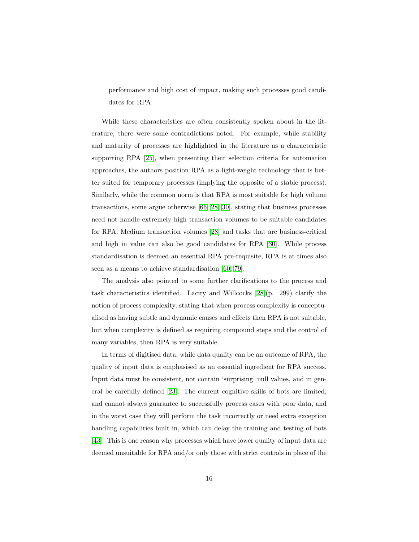performance and high cost of impact, making such processes good candidates for RPA.

While these characteristics are often consistently spoken about in the literature, there were some contradictions noted. For example, while stability and maturity of processes are highlighted in the literature as a characteristic supporting RPA [\[25\]](#page-41-6), when presenting their selection criteria for automation approaches, the authors position RPA as a light-weight technology that is better suited for temporary processes (implying the opposite of a stable process). Similarly, while the common norm is that RPA is most suitable for high volume transactions, some argue otherwise [\[66,](#page-45-8) [28,](#page-41-9) [30\]](#page-42-0), stating that business processes need not handle extremely high transaction volumes to be suitable candidates for RPA. Medium transaction volumes [\[28\]](#page-41-9) and tasks that are business-critical and high in value can also be good candidates for RPA [\[30\]](#page-42-0). While process standardisation is deemed an essential RPA pre-requisite, RPA is at times also seen as a means to achieve standardisation [\[60,](#page-45-2) [79\]](#page-47-3).

The analysis also pointed to some further clarifications to the process and task characteristics identified. Lacity and Willcocks [\[28\]](#page-41-9)(p. 299) clarify the notion of process complexity, stating that when process complexity is conceptualised as having subtle and dynamic causes and effects then RPA is not suitable, but when complexity is defined as requiring compound steps and the control of many variables, then RPA is very suitable.

In terms of digitised data, while data quality can be an outcome of RPA, the quality of input data is emphasised as an essential ingredient for RPA success. Input data must be consistent, not contain 'surprising' null values, and in general be carefully defined [\[23\]](#page-41-4). The current cognitive skills of bots are limited, and cannot always guarantee to successfully process cases with poor data, and in the worst case they will perform the task incorrectly or need extra exception handling capabilities built in, which can delay the training and testing of bots [\[43\]](#page-43-4). This is one reason why processes which have lower quality of input data are deemed unsuitable for RPA and/or only those with strict controls in place of the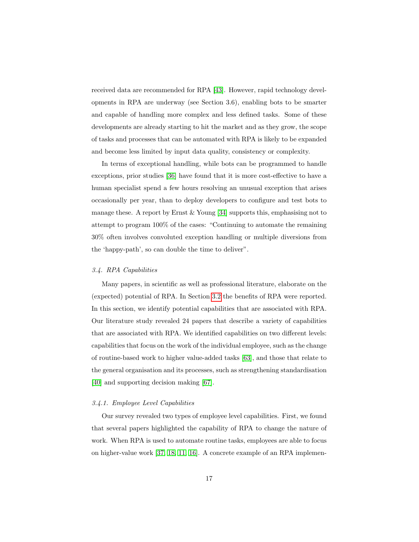received data are recommended for RPA [\[43\]](#page-43-4). However, rapid technology developments in RPA are underway (see Section 3.6), enabling bots to be smarter and capable of handling more complex and less defined tasks. Some of these developments are already starting to hit the market and as they grow, the scope of tasks and processes that can be automated with RPA is likely to be expanded and become less limited by input data quality, consistency or complexity.

In terms of exceptional handling, while bots can be programmed to handle exceptions, prior studies [\[36\]](#page-42-6) have found that it is more cost-effective to have a human specialist spend a few hours resolving an unusual exception that arises occasionally per year, than to deploy developers to configure and test bots to manage these. A report by Ernst  $\&$  Young [\[34\]](#page-42-4) supports this, emphasising not to attempt to program 100% of the cases: "Continuing to automate the remaining 30% often involves convoluted exception handling or multiple diversions from the 'happy-path', so can double the time to deliver".

# <span id="page-16-0"></span>3.4. RPA Capabilities

Many papers, in scientific as well as professional literature, elaborate on the (expected) potential of RPA. In Section [3.2](#page-8-0) the benefits of RPA were reported. In this section, we identify potential capabilities that are associated with RPA. Our literature study revealed 24 papers that describe a variety of capabilities that are associated with RPA. We identified capabilities on two different levels: capabilities that focus on the work of the individual employee, such as the change of routine-based work to higher value-added tasks [\[63\]](#page-45-5), and those that relate to the general organisation and its processes, such as strengthening standardisation [\[40\]](#page-43-1) and supporting decision making [\[67\]](#page-46-0).

# 3.4.1. Employee Level Capabilities

Our survey revealed two types of employee level capabilities. First, we found that several papers highlighted the capability of RPA to change the nature of work. When RPA is used to automate routine tasks, employees are able to focus on higher-value work [\[37,](#page-42-7) [18,](#page-40-8) [11,](#page-40-1) [16\]](#page-40-6). A concrete example of an RPA implemen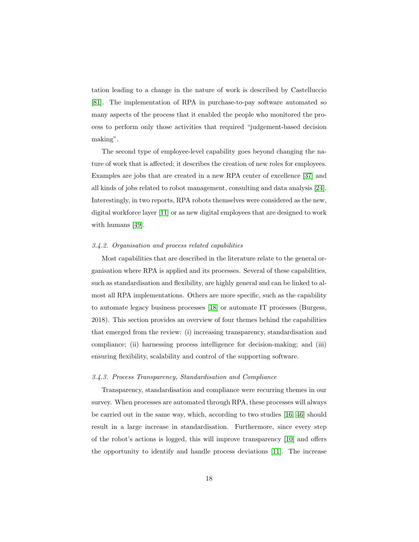tation leading to a change in the nature of work is described by Castelluccio [\[81\]](#page-47-5). The implementation of RPA in purchase-to-pay software automated so many aspects of the process that it enabled the people who monitored the process to perform only those activities that required "judgement-based decision making".

The second type of employee-level capability goes beyond changing the nature of work that is affected; it describes the creation of new roles for employees. Examples are jobs that are created in a new RPA center of excellence [\[37\]](#page-42-7) and all kinds of jobs related to robot management, consulting and data analysis [\[24\]](#page-41-5). Interestingly, in two reports, RPA robots themselves were considered as the new, digital workforce layer [\[11\]](#page-40-1) or as new digital employees that are designed to work with humans [\[49\]](#page-44-0).

#### 3.4.2. Organisation and process related capabilities

Most capabilities that are described in the literature relate to the general organisation where RPA is applied and its processes. Several of these capabilities, such as standardisation and flexibility, are highly general and can be linked to almost all RPA implementations. Others are more specific, such as the capability to automate legacy business processes [\[18\]](#page-40-8) or automate IT processes (Burgess, 2018). This section provides an overview of four themes behind the capabilities that emerged from the review: (i) increasing transparency, standardisation and compliance; (ii) harnessing process intelligence for decision-making; and (iii) ensuring flexibility, scalability and control of the supporting software.

#### 3.4.3. Process Transparency, Standardisation and Compliance

Transparency, standardisation and compliance were recurring themes in our survey. When processes are automated through RPA, these processes will always be carried out in the same way, which, according to two studies [\[16,](#page-40-6) [46\]](#page-43-7) should result in a large increase in standardisation. Furthermore, since every step of the robot's actions is logged, this will improve transparency [\[10\]](#page-40-0) and offers the opportunity to identify and handle process deviations [\[11\]](#page-40-1). The increase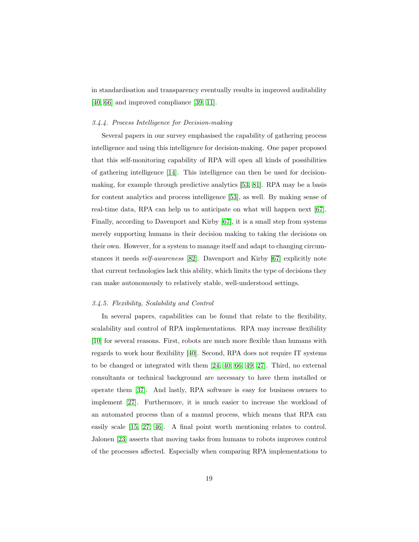in standardisation and transparency eventually results in improved auditability [\[40,](#page-43-1) [66\]](#page-45-8) and improved compliance [\[39,](#page-43-0) [11\]](#page-40-1).

#### 3.4.4. Process Intelligence for Decision-making

Several papers in our survey emphasised the capability of gathering process intelligence and using this intelligence for decision-making. One paper proposed that this self-monitoring capability of RPA will open all kinds of possibilities of gathering intelligence [\[14\]](#page-40-4). This intelligence can then be used for decisionmaking, for example through predictive analytics [\[53,](#page-44-4) [81\]](#page-47-5). RPA may be a basis for content analytics and process intelligence [\[53\]](#page-44-4), as well. By making sense of real-time data, RPA can help us to anticipate on what will happen next [\[67\]](#page-46-0). Finally, according to Davenport and Kirby [\[67\]](#page-46-0), it is a small step from systems merely supporting humans in their decision making to taking the decisions on their own. However, for a system to manage itself and adapt to changing circumstances it needs self-awareness [\[82\]](#page-47-6). Davenport and Kirby [\[67\]](#page-46-0) explicitly note that current technologies lack this ability, which limits the type of decisions they can make autonomously to relatively stable, well-understood settings.

# 3.4.5. Flexibility, Scalability and Control

In several papers, capabilities can be found that relate to the flexibility, scalability and control of RPA implementations. RPA may increase flexibility [\[10\]](#page-40-0) for several reasons. First, robots are much more flexible than humans with regards to work hour flexibility [\[40\]](#page-43-1). Second, RPA does not require IT systems to be changed or integrated with them [\[24,](#page-41-5) [40,](#page-43-1) [66,](#page-45-8) [49,](#page-44-0) [27\]](#page-41-8). Third, no external consultants or technical background are necessary to have them installed or operate them [\[37\]](#page-42-7). And lastly, RPA software is easy for business owners to implement [\[27\]](#page-41-8). Furthermore, it is much easier to increase the workload of an automated process than of a manual process, which means that RPA can easily scale [\[15,](#page-40-5) [27,](#page-41-8) [46\]](#page-43-7). A final point worth mentioning relates to control. Jalonen [\[23\]](#page-41-4) asserts that moving tasks from humans to robots improves control of the processes affected. Especially when comparing RPA implementations to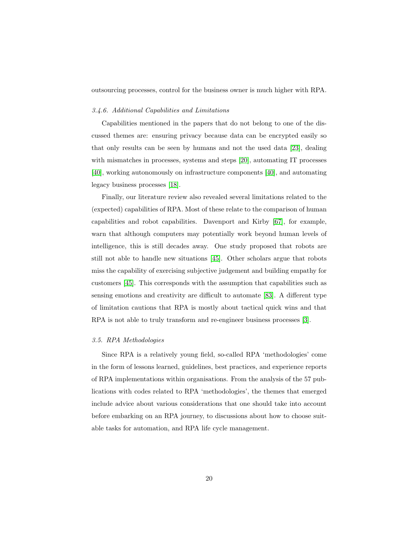outsourcing processes, control for the business owner is much higher with RPA.

#### 3.4.6. Additional Capabilities and Limitations

Capabilities mentioned in the papers that do not belong to one of the discussed themes are: ensuring privacy because data can be encrypted easily so that only results can be seen by humans and not the used data [\[23\]](#page-41-4), dealing with mismatches in processes, systems and steps [\[20\]](#page-41-1), automating IT processes [\[40\]](#page-43-1), working autonomously on infrastructure components [\[40\]](#page-43-1), and automating legacy business processes [\[18\]](#page-40-8).

Finally, our literature review also revealed several limitations related to the (expected) capabilities of RPA. Most of these relate to the comparison of human capabilities and robot capabilities. Davenport and Kirby [\[67\]](#page-46-0), for example, warn that although computers may potentially work beyond human levels of intelligence, this is still decades away. One study proposed that robots are still not able to handle new situations [\[45\]](#page-43-6). Other scholars argue that robots miss the capability of exercising subjective judgement and building empathy for customers [\[45\]](#page-43-6). This corresponds with the assumption that capabilities such as sensing emotions and creativity are difficult to automate [\[83\]](#page-47-7). A different type of limitation cautions that RPA is mostly about tactical quick wins and that RPA is not able to truly transform and re-engineer business processes [\[3\]](#page-39-2).

#### <span id="page-19-0"></span>3.5. RPA Methodologies

Since RPA is a relatively young field, so-called RPA 'methodologies' come in the form of lessons learned, guidelines, best practices, and experience reports of RPA implementations within organisations. From the analysis of the 57 publications with codes related to RPA 'methodologies', the themes that emerged include advice about various considerations that one should take into account before embarking on an RPA journey, to discussions about how to choose suitable tasks for automation, and RPA life cycle management.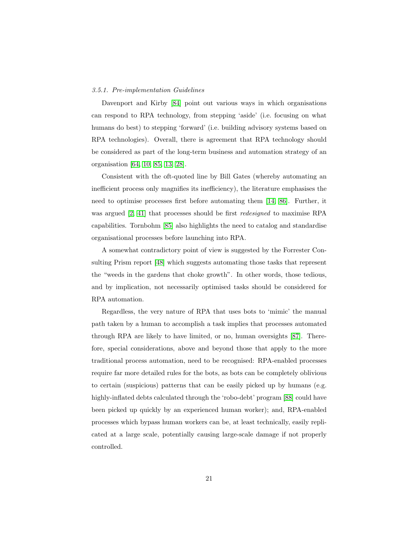# 3.5.1. Pre-implementation Guidelines

Davenport and Kirby [\[84\]](#page-47-8) point out various ways in which organisations can respond to RPA technology, from stepping 'aside' (i.e. focusing on what humans do best) to stepping 'forward' (i.e. building advisory systems based on RPA technologies). Overall, there is agreement that RPA technology should be considered as part of the long-term business and automation strategy of an organisation [\[64,](#page-45-6) [10,](#page-40-0) [85,](#page-47-9) [13,](#page-40-3) [28\]](#page-41-9).

Consistent with the oft-quoted line by Bill Gates (whereby automating an inefficient process only magnifies its inefficiency), the literature emphasises the need to optimise processes first before automating them [\[14,](#page-40-4) [86\]](#page-48-0). Further, it was argued [\[2,](#page-39-1) [41\]](#page-43-2) that processes should be first redesigned to maximise RPA capabilities. Tornbohm [\[85\]](#page-47-9) also highlights the need to catalog and standardise organisational processes before launching into RPA.

A somewhat contradictory point of view is suggested by the Forrester Consulting Prism report [\[48\]](#page-43-9) which suggests automating those tasks that represent the "weeds in the gardens that choke growth". In other words, those tedious, and by implication, not necessarily optimised tasks should be considered for RPA automation.

Regardless, the very nature of RPA that uses bots to 'mimic' the manual path taken by a human to accomplish a task implies that processes automated through RPA are likely to have limited, or no, human oversights [\[87\]](#page-48-1). Therefore, special considerations, above and beyond those that apply to the more traditional process automation, need to be recognised: RPA-enabled processes require far more detailed rules for the bots, as bots can be completely oblivious to certain (suspicious) patterns that can be easily picked up by humans (e.g. highly-inflated debts calculated through the 'robo-debt' program [\[88\]](#page-48-2) could have been picked up quickly by an experienced human worker); and, RPA-enabled processes which bypass human workers can be, at least technically, easily replicated at a large scale, potentially causing large-scale damage if not properly controlled.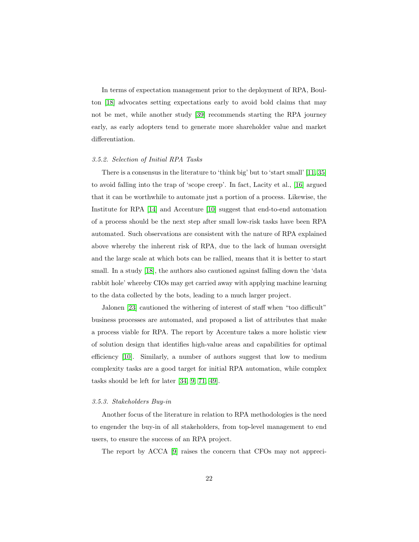In terms of expectation management prior to the deployment of RPA, Boulton [\[18\]](#page-40-8) advocates setting expectations early to avoid bold claims that may not be met, while another study [\[39\]](#page-43-0) recommends starting the RPA journey early, as early adopters tend to generate more shareholder value and market differentiation.

#### 3.5.2. Selection of Initial RPA Tasks

There is a consensus in the literature to 'think big' but to 'start small' [\[11,](#page-40-1) [35\]](#page-42-5) to avoid falling into the trap of 'scope creep'. In fact, Lacity et al., [\[16\]](#page-40-6) argued that it can be worthwhile to automate just a portion of a process. Likewise, the Institute for RPA [\[14\]](#page-40-4) and Accenture [\[10\]](#page-40-0) suggest that end-to-end automation of a process should be the next step after small low-risk tasks have been RPA automated. Such observations are consistent with the nature of RPA explained above whereby the inherent risk of RPA, due to the lack of human oversight and the large scale at which bots can be rallied, means that it is better to start small. In a study [\[18\]](#page-40-8), the authors also cautioned against falling down the 'data rabbit hole' whereby CIOs may get carried away with applying machine learning to the data collected by the bots, leading to a much larger project.

Jalonen [\[23\]](#page-41-4) cautioned the withering of interest of staff when "too difficult" business processes are automated, and proposed a list of attributes that make a process viable for RPA. The report by Accenture takes a more holistic view of solution design that identifies high-value areas and capabilities for optimal efficiency [\[10\]](#page-40-0). Similarly, a number of authors suggest that low to medium complexity tasks are a good target for initial RPA automation, while complex tasks should be left for later [\[34,](#page-42-4) [9,](#page-39-8) [71,](#page-46-4) [49\]](#page-44-0).

# 3.5.3. Stakeholders Buy-in

Another focus of the literature in relation to RPA methodologies is the need to engender the buy-in of all stakeholders, from top-level management to end users, to ensure the success of an RPA project.

The report by ACCA [\[9\]](#page-39-8) raises the concern that CFOs may not appreci-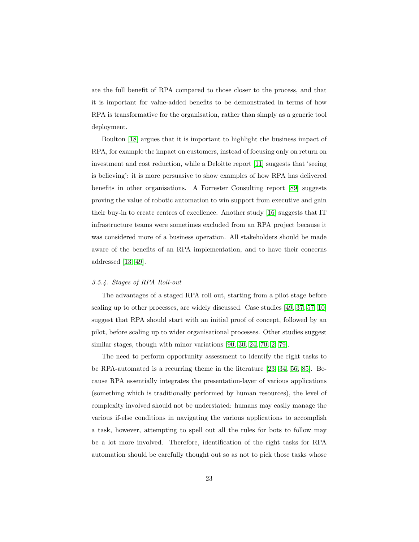ate the full benefit of RPA compared to those closer to the process, and that it is important for value-added benefits to be demonstrated in terms of how RPA is transformative for the organisation, rather than simply as a generic tool deployment.

Boulton [\[18\]](#page-40-8) argues that it is important to highlight the business impact of RPA, for example the impact on customers, instead of focusing only on return on investment and cost reduction, while a Deloitte report [\[11\]](#page-40-1) suggests that 'seeing is believing': it is more persuasive to show examples of how RPA has delivered benefits in other organisations. A Forrester Consulting report [\[89\]](#page-48-3) suggests proving the value of robotic automation to win support from executive and gain their buy-in to create centres of excellence. Another study [\[16\]](#page-40-6) suggests that IT infrastructure teams were sometimes excluded from an RPA project because it was considered more of a business operation. All stakeholders should be made aware of the benefits of an RPA implementation, and to have their concerns addressed [\[13,](#page-40-3) [49\]](#page-44-0).

#### 3.5.4. Stages of RPA Roll-out

The advantages of a staged RPA roll out, starting from a pilot stage before scaling up to other processes, are widely discussed. Case studies [\[49,](#page-44-0) [37,](#page-42-7) [57,](#page-44-8) [10\]](#page-40-0) suggest that RPA should start with an initial proof of concept, followed by an pilot, before scaling up to wider organisational processes. Other studies suggest similar stages, though with minor variations [\[90,](#page-48-4) [30,](#page-42-0) [24,](#page-41-5) [70,](#page-46-3) [2,](#page-39-1) [79\]](#page-47-3).

The need to perform opportunity assessment to identify the right tasks to be RPA-automated is a recurring theme in the literature [\[23,](#page-41-4) [34,](#page-42-4) [56,](#page-44-7) [85\]](#page-47-9). Because RPA essentially integrates the presentation-layer of various applications (something which is traditionally performed by human resources), the level of complexity involved should not be understated: humans may easily manage the various if-else conditions in navigating the various applications to accomplish a task, however, attempting to spell out all the rules for bots to follow may be a lot more involved. Therefore, identification of the right tasks for RPA automation should be carefully thought out so as not to pick those tasks whose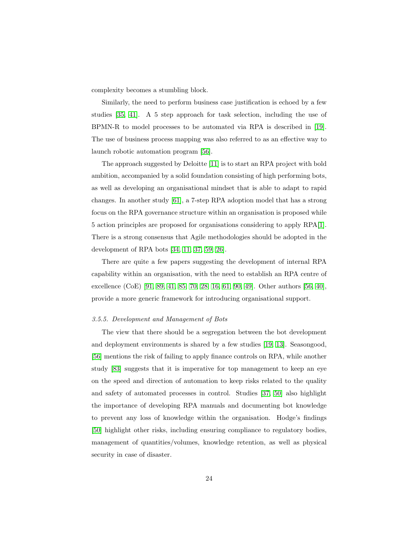complexity becomes a stumbling block.

Similarly, the need to perform business case justification is echoed by a few studies [\[35,](#page-42-5) [41\]](#page-43-2). A 5 step approach for task selection, including the use of BPMN-R to model processes to be automated via RPA is described in [\[19\]](#page-41-0). The use of business process mapping was also referred to as an effective way to launch robotic automation program [\[56\]](#page-44-7).

The approach suggested by Deloitte [\[11\]](#page-40-1) is to start an RPA project with bold ambition, accompanied by a solid foundation consisting of high performing bots, as well as developing an organisational mindset that is able to adapt to rapid changes. In another study [\[61\]](#page-45-3), a 7-step RPA adoption model that has a strong focus on the RPA governance structure within an organisation is proposed while 5 action principles are proposed for organisations considering to apply RPA[\[1\]](#page-39-0). There is a strong consensus that Agile methodologies should be adopted in the development of RPA bots [\[34,](#page-42-4) [11,](#page-40-1) [37,](#page-42-7) [59,](#page-45-1) [26\]](#page-41-7).

There are quite a few papers suggesting the development of internal RPA capability within an organisation, with the need to establish an RPA centre of excellence (CoE) [\[91,](#page-48-5) [89,](#page-48-3) [41,](#page-43-2) [85,](#page-47-9) [70,](#page-46-3) [28,](#page-41-9) [16,](#page-40-6) [61,](#page-45-3) [90,](#page-48-4) [49\]](#page-44-0). Other authors [\[56,](#page-44-7) [40\]](#page-43-1), provide a more generic framework for introducing organisational support.

### 3.5.5. Development and Management of Bots

The view that there should be a segregation between the bot development and deployment environments is shared by a few studies [\[19,](#page-41-0) [13\]](#page-40-3). Seasongood, [\[56\]](#page-44-7) mentions the risk of failing to apply finance controls on RPA, while another study [\[83\]](#page-47-7) suggests that it is imperative for top management to keep an eye on the speed and direction of automation to keep risks related to the quality and safety of automated processes in control. Studies [\[37,](#page-42-7) [50\]](#page-44-1) also highlight the importance of developing RPA manuals and documenting bot knowledge to prevent any loss of knowledge within the organisation. Hodge's findings [\[50\]](#page-44-1) highlight other risks, including ensuring compliance to regulatory bodies, management of quantities/volumes, knowledge retention, as well as physical security in case of disaster.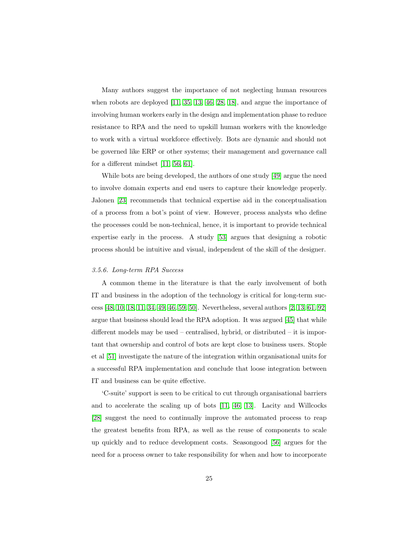Many authors suggest the importance of not neglecting human resources when robots are deployed [\[11,](#page-40-1) [35,](#page-42-5) [13,](#page-40-3) [46,](#page-43-7) [28,](#page-41-9) [18\]](#page-40-8), and argue the importance of involving human workers early in the design and implementation phase to reduce resistance to RPA and the need to upskill human workers with the knowledge to work with a virtual workforce effectively. Bots are dynamic and should not be governed like ERP or other systems; their management and governance call for a different mindset [\[11,](#page-40-1) [56,](#page-44-7) [61\]](#page-45-3).

While bots are being developed, the authors of one study [\[49\]](#page-44-0) argue the need to involve domain experts and end users to capture their knowledge properly. Jalonen [\[23\]](#page-41-4) recommends that technical expertise aid in the conceptualisation of a process from a bot's point of view. However, process analysts who define the processes could be non-technical, hence, it is important to provide technical expertise early in the process. A study [\[53\]](#page-44-4) argues that designing a robotic process should be intuitive and visual, independent of the skill of the designer.

### 3.5.6. Long-term RPA Success

A common theme in the literature is that the early involvement of both IT and business in the adoption of the technology is critical for long-term success [\[48,](#page-43-9) [10,](#page-40-0) [18,](#page-40-8) [11,](#page-40-1) [34,](#page-42-4) [49,](#page-44-0) [46,](#page-43-7) [59,](#page-45-1) [50\]](#page-44-1). Nevertheless, several authors [\[2,](#page-39-1) [13,](#page-40-3) [61,](#page-45-3) [92\]](#page-48-6) argue that business should lead the RPA adoption. It was argued [\[45\]](#page-43-6) that while different models may be used – centralised, hybrid, or distributed – it is important that ownership and control of bots are kept close to business users. Stople et al [\[51\]](#page-44-2) investigate the nature of the integration within organisational units for a successful RPA implementation and conclude that loose integration between IT and business can be quite effective.

'C-suite' support is seen to be critical to cut through organisational barriers and to accelerate the scaling up of bots [\[11,](#page-40-1) [46,](#page-43-7) [13\]](#page-40-3). Lacity and Willcocks [\[28\]](#page-41-9) suggest the need to continually improve the automated process to reap the greatest benefits from RPA, as well as the reuse of components to scale up quickly and to reduce development costs. Seasongood [\[56\]](#page-44-7) argues for the need for a process owner to take responsibility for when and how to incorporate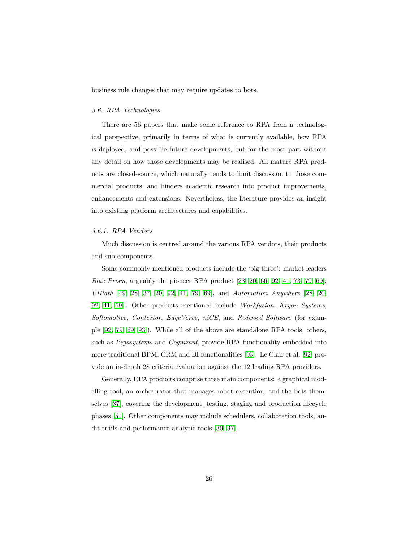business rule changes that may require updates to bots.

#### <span id="page-25-0"></span>3.6. RPA Technologies

There are 56 papers that make some reference to RPA from a technological perspective, primarily in terms of what is currently available, how RPA is deployed, and possible future developments, but for the most part without any detail on how those developments may be realised. All mature RPA products are closed-source, which naturally tends to limit discussion to those commercial products, and hinders academic research into product improvements, enhancements and extensions. Nevertheless, the literature provides an insight into existing platform architectures and capabilities.

# 3.6.1. RPA Vendors

Much discussion is centred around the various RPA vendors, their products and sub-components.

Some commonly mentioned products include the 'big three': market leaders *Blue Prism*, arguably the pioneer RPA product  $[28, 20, 66, 92, 41, 73, 79, 69]$  $[28, 20, 66, 92, 41, 73, 79, 69]$  $[28, 20, 66, 92, 41, 73, 79, 69]$  $[28, 20, 66, 92, 41, 73, 79, 69]$  $[28, 20, 66, 92, 41, 73, 79, 69]$  $[28, 20, 66, 92, 41, 73, 79, 69]$  $[28, 20, 66, 92, 41, 73, 79, 69]$  $[28, 20, 66, 92, 41, 73, 79, 69]$ , UIPath [\[49,](#page-44-0) [28,](#page-41-9) [37,](#page-42-7) [20,](#page-41-1) [92,](#page-48-6) [41,](#page-43-2) [79,](#page-47-3) [69\]](#page-46-2), and Automation Anywhere [\[28,](#page-41-9) [20,](#page-41-1) [92,](#page-48-6) [41,](#page-43-2) [69\]](#page-46-2). Other products mentioned include Workfusion, Kryon Systems, Softomotive, Contextor, EdgeVerve, niCE, and Redwood Software (for example [\[92,](#page-48-6) [79,](#page-47-3) [69,](#page-46-2) [93\]](#page-48-7)). While all of the above are standalone RPA tools, others, such as *Pegasystems* and *Cognizant*, provide RPA functionality embedded into more traditional BPM, CRM and BI functionalities [\[93\]](#page-48-7). Le Clair et al. [\[92\]](#page-48-6) provide an in-depth 28 criteria evaluation against the 12 leading RPA providers.

Generally, RPA products comprise three main components: a graphical modelling tool, an orchestrator that manages robot execution, and the bots themselves [\[37\]](#page-42-7), covering the development, testing, staging and production lifecycle phases [\[51\]](#page-44-2). Other components may include schedulers, collaboration tools, audit trails and performance analytic tools [\[30,](#page-42-0) [37\]](#page-42-7).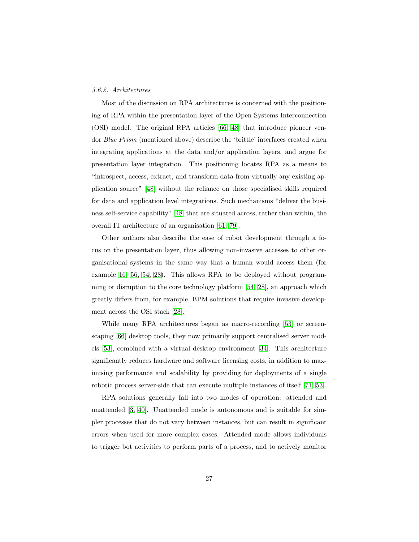# 3.6.2. Architectures

Most of the discussion on RPA architectures is concerned with the positioning of RPA within the presentation layer of the Open Systems Interconnection (OSI) model. The original RPA articles [\[66,](#page-45-8) [48\]](#page-43-9) that introduce pioneer vendor Blue Prism (mentioned above) describe the 'brittle' interfaces created when integrating applications at the data and/or application layers, and argue for presentation layer integration. This positioning locates RPA as a means to "introspect, access, extract, and transform data from virtually any existing application source" [\[48\]](#page-43-9) without the reliance on those specialised skills required for data and application level integrations. Such mechanisms "deliver the business self-service capability" [\[48\]](#page-43-9) that are situated across, rather than within, the overall IT architecture of an organisation [\[61,](#page-45-3) [79\]](#page-47-3).

Other authors also describe the ease of robot development through a focus on the presentation layer, thus allowing non-invasive accesses to other organisational systems in the same way that a human would access them (for example [16,](#page-40-6) [56,](#page-44-7) [54,](#page-44-5) [28\)](#page-41-9). This allows RPA to be deployed without programming or disruption to the core technology platform [\[54,](#page-44-5) [28\]](#page-41-9), an approach which greatly differs from, for example, BPM solutions that require invasive development across the OSI stack [\[28\]](#page-41-9).

While many RPA architectures began as macro-recording [\[53\]](#page-44-4) or screenscaping [\[66\]](#page-45-8) desktop tools, they now primarily support centralised server models [\[53\]](#page-44-4), combined with a virtual desktop environment [\[34\]](#page-42-4). This architecture significantly reduces hardware and software licensing costs, in addition to maximising performance and scalability by providing for deployments of a single robotic process server-side that can execute multiple instances of itself [\[71,](#page-46-4) [53\]](#page-44-4).

RPA solutions generally fall into two modes of operation: attended and unattended [\[3,](#page-39-2) [40\]](#page-43-1). Unattended mode is autonomous and is suitable for simpler processes that do not vary between instances, but can result in significant errors when used for more complex cases. Attended mode allows individuals to trigger bot activities to perform parts of a process, and to actively monitor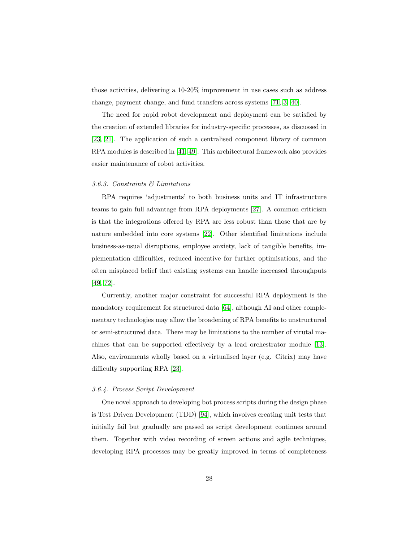those activities, delivering a 10-20% improvement in use cases such as address change, payment change, and fund transfers across systems [\[71,](#page-46-4) [3,](#page-39-2) [40\]](#page-43-1).

The need for rapid robot development and deployment can be satisfied by the creation of extended libraries for industry-specific processes, as discussed in [\[23,](#page-41-4) [21\]](#page-41-2). The application of such a centralised component library of common RPA modules is described in [\[41,](#page-43-2) [49\]](#page-44-0). This architectural framework also provides easier maintenance of robot activities.

#### 3.6.3. Constraints & Limitations

RPA requires 'adjustments' to both business units and IT infrastructure teams to gain full advantage from RPA deployments [\[27\]](#page-41-8). A common criticism is that the integrations offered by RPA are less robust than those that are by nature embedded into core systems [\[22\]](#page-41-3). Other identified limitations include business-as-usual disruptions, employee anxiety, lack of tangible benefits, implementation difficulties, reduced incentive for further optimisations, and the often misplaced belief that existing systems can handle increased throughputs [\[49,](#page-44-0) [72\]](#page-46-5).

Currently, another major constraint for successful RPA deployment is the mandatory requirement for structured data [\[64\]](#page-45-6), although AI and other complementary technologies may allow the broadening of RPA benefits to unstructured or semi-structured data. There may be limitations to the number of virutal machines that can be supported effectively by a lead orchestrator module [\[13\]](#page-40-3). Also, environments wholly based on a virtualised layer (e.g. Citrix) may have difficulty supporting RPA [\[23\]](#page-41-4).

#### 3.6.4. Process Script Development

One novel approach to developing bot process scripts during the design phase is Test Driven Development (TDD) [\[94\]](#page-48-8), which involves creating unit tests that initially fail but gradually are passed as script development continues around them. Together with video recording of screen actions and agile techniques, developing RPA processes may be greatly improved in terms of completeness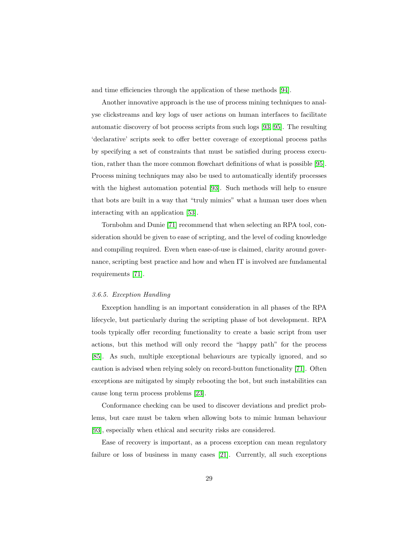and time efficiencies through the application of these methods [\[94\]](#page-48-8).

Another innovative approach is the use of process mining techniques to analyse clickstreams and key logs of user actions on human interfaces to facilitate automatic discovery of bot process scripts from such logs [\[93,](#page-48-7) [95\]](#page-49-1). The resulting 'declarative' scripts seek to offer better coverage of exceptional process paths by specifying a set of constraints that must be satisfied during process execution, rather than the more common flowchart definitions of what is possible [\[95\]](#page-49-1). Process mining techniques may also be used to automatically identify processes with the highest automation potential [\[93\]](#page-48-7). Such methods will help to ensure that bots are built in a way that "truly mimics" what a human user does when interacting with an application [\[53\]](#page-44-4).

Tornbohm and Dunie [\[71\]](#page-46-4) recommend that when selecting an RPA tool, consideration should be given to ease of scripting, and the level of coding knowledge and compiling required. Even when ease-of-use is claimed, clarity around governance, scripting best practice and how and when IT is involved are fundamental requirements [\[71\]](#page-46-4).

# <span id="page-28-0"></span>3.6.5. Exception Handling

Exception handling is an important consideration in all phases of the RPA lifecycle, but particularly during the scripting phase of bot development. RPA tools typically offer recording functionality to create a basic script from user actions, but this method will only record the "happy path" for the process [\[85\]](#page-47-9). As such, multiple exceptional behaviours are typically ignored, and so caution is advised when relying solely on record-button functionality [\[71\]](#page-46-4). Often exceptions are mitigated by simply rebooting the bot, but such instabilities can cause long term process problems [\[23\]](#page-41-4).

Conformance checking can be used to discover deviations and predict problems, but care must be taken when allowing bots to mimic human behaviour [\[93\]](#page-48-7), especially when ethical and security risks are considered.

Ease of recovery is important, as a process exception can mean regulatory failure or loss of business in many cases [\[21\]](#page-41-2). Currently, all such exceptions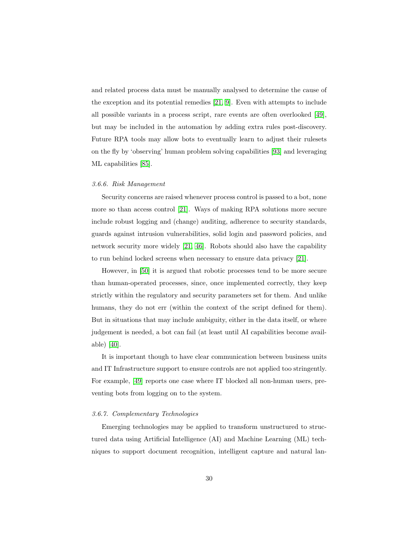and related process data must be manually analysed to determine the cause of the exception and its potential remedies [\[21,](#page-41-2) [9\]](#page-39-8). Even with attempts to include all possible variants in a process script, rare events are often overlooked [\[49\]](#page-44-0), but may be included in the automation by adding extra rules post-discovery. Future RPA tools may allow bots to eventually learn to adjust their rulesets on the fly by 'observing' human problem solving capabilities [\[93\]](#page-48-7) and leveraging ML capabilities [\[85\]](#page-47-9).

### 3.6.6. Risk Management

Security concerns are raised whenever process control is passed to a bot, none more so than access control [\[21\]](#page-41-2). Ways of making RPA solutions more secure include robust logging and (change) auditing, adherence to security standards, guards against intrusion vulnerabilities, solid login and password policies, and network security more widely [\[21,](#page-41-2) [46\]](#page-43-7). Robots should also have the capability to run behind locked screens when necessary to ensure data privacy [\[21\]](#page-41-2).

However, in [\[50\]](#page-44-1) it is argued that robotic processes tend to be more secure than human-operated processes, since, once implemented correctly, they keep strictly within the regulatory and security parameters set for them. And unlike humans, they do not err (within the context of the script defined for them). But in situations that may include ambiguity, either in the data itself, or where judgement is needed, a bot can fail (at least until AI capabilities become available) [\[40\]](#page-43-1).

It is important though to have clear communication between business units and IT Infrastructure support to ensure controls are not applied too stringently. For example, [\[49\]](#page-44-0) reports one case where IT blocked all non-human users, preventing bots from logging on to the system.

### 3.6.7. Complementary Technologies

Emerging technologies may be applied to transform unstructured to structured data using Artificial Intelligence (AI) and Machine Learning (ML) techniques to support document recognition, intelligent capture and natural lan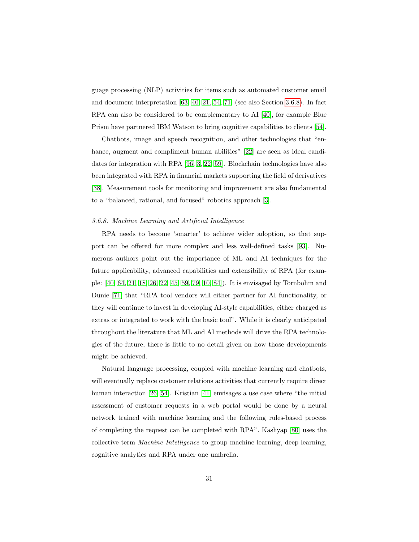guage processing (NLP) activities for items such as automated customer email and document interpretation [\[63,](#page-45-5) [40,](#page-43-1) [21,](#page-41-2) [54,](#page-44-5) [71\]](#page-46-4) (see also Section [3.6.8\)](#page-30-0). In fact RPA can also be considered to be complementary to AI [\[40\]](#page-43-1), for example Blue Prism have partnered IBM Watson to bring cognitive capabilities to clients [\[54\]](#page-44-5).

Chatbots, image and speech recognition, and other technologies that "en-hance, augment and compliment human abilities" [\[22\]](#page-41-3) are seen as ideal candidates for integration with RPA [\[96,](#page-49-2) [3,](#page-39-2) [22,](#page-41-3) [59\]](#page-45-1). Blockchain technologies have also been integrated with RPA in financial markets supporting the field of derivatives [\[38\]](#page-42-8). Measurement tools for monitoring and improvement are also fundamental to a "balanced, rational, and focused" robotics approach [\[3\]](#page-39-2).

## <span id="page-30-0"></span>3.6.8. Machine Learning and Artificial Intelligence

RPA needs to become 'smarter' to achieve wider adoption, so that support can be offered for more complex and less well-defined tasks [\[93\]](#page-48-7). Numerous authors point out the importance of ML and AI techniques for the future applicability, advanced capabilities and extensibility of RPA (for example: [\[40,](#page-43-1) [64,](#page-45-6) [21,](#page-41-2) [18,](#page-40-8) [26,](#page-41-7) [22,](#page-41-3) [45,](#page-43-6) [59,](#page-45-1) [79,](#page-47-3) [10,](#page-40-0) [84\]](#page-47-8)). It is envisaged by Tornbohm and Dunie [\[71\]](#page-46-4) that "RPA tool vendors will either partner for AI functionality, or they will continue to invest in developing AI-style capabilities, either charged as extras or integrated to work with the basic tool". While it is clearly anticipated throughout the literature that ML and AI methods will drive the RPA technologies of the future, there is little to no detail given on how those developments might be achieved.

Natural language processing, coupled with machine learning and chatbots, will eventually replace customer relations activities that currently require direct human interaction [\[26,](#page-41-7) [54\]](#page-44-5). Kristian [\[41\]](#page-43-2) envisages a use case where "the initial assessment of customer requests in a web portal would be done by a neural network trained with machine learning and the following rules-based process of completing the request can be completed with RPA". Kashyap [\[80\]](#page-47-4) uses the collective term Machine Intelligence to group machine learning, deep learning, cognitive analytics and RPA under one umbrella.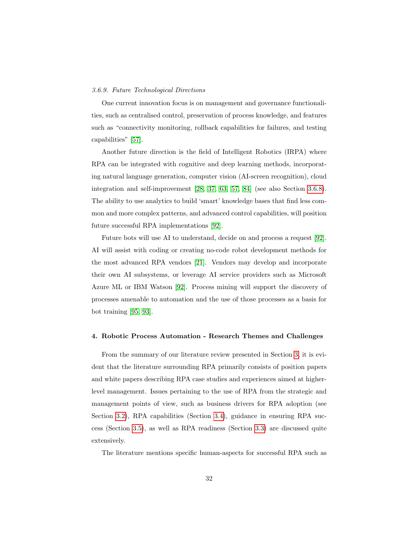#### 3.6.9. Future Technological Directions

One current innovation focus is on management and governance functionalities, such as centralised control, preservation of process knowledge, and features such as "connectivity monitoring, rollback capabilities for failures, and testing capabilities" [\[57\]](#page-44-8).

Another future direction is the field of Intelligent Robotics (IRPA) where RPA can be integrated with cognitive and deep learning methods, incorporating natural language generation, computer vision (AI-screen recognition), cloud integration and self-improvement [\[28,](#page-41-9) [37,](#page-42-7) [63,](#page-45-5) [57,](#page-44-8) [84\]](#page-47-8) (see also Section [3.6.8\)](#page-30-0). The ability to use analytics to build 'smart' knowledge bases that find less common and more complex patterns, and advanced control capabilities, will position future successful RPA implementations [\[92\]](#page-48-6).

Future bots will use AI to understand, decide on and process a request [\[92\]](#page-48-6). AI will assist with coding or creating no-code robot development methods for the most advanced RPA vendors [\[21\]](#page-41-2). Vendors may develop and incorporate their own AI subsystems, or leverage AI service providers such as Microsoft Azure ML or IBM Watson [\[92\]](#page-48-6). Process mining will support the discovery of processes amenable to automation and the use of those processes as a basis for bot training [\[95,](#page-49-1) [93\]](#page-48-7).

### <span id="page-31-0"></span>4. Robotic Process Automation - Research Themes and Challenges

From the summary of our literature review presented in Section [3,](#page-6-0) it is evident that the literature surrounding RPA primarily consists of position papers and white papers describing RPA case studies and experiences aimed at higherlevel management. Issues pertaining to the use of RPA from the strategic and management points of view, such as business drivers for RPA adoption (see Section [3.2\)](#page-8-0), RPA capabilities (Section [3.4\)](#page-16-0), guidance in ensuring RPA success (Section [3.5\)](#page-19-0), as well as RPA readiness (Section [3.3\)](#page-10-0) are discussed quite extensively.

The literature mentions specific human-aspects for successful RPA such as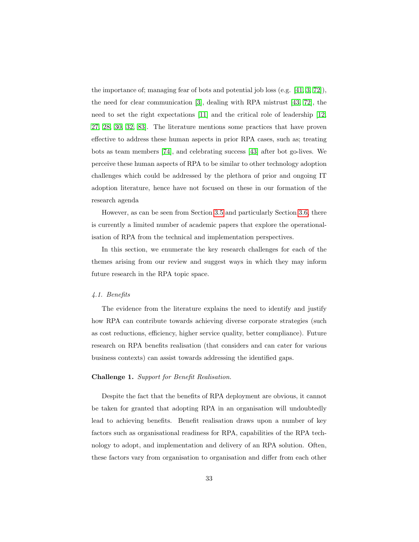the importance of; managing fear of bots and potential job loss (e.g. [\[41,](#page-43-2) [3,](#page-39-2) [72\]](#page-46-5)), the need for clear communication [\[3\]](#page-39-2), dealing with RPA mistrust [\[43,](#page-43-4) [72\]](#page-46-5), the need to set the right expectations [\[11\]](#page-40-1) and the critical role of leadership [\[12,](#page-40-2) [27,](#page-41-8) [28,](#page-41-9) [30,](#page-42-0) [32,](#page-42-2) [83\]](#page-47-7). The literature mentions some practices that have proven effective to address these human aspects in prior RPA cases, such as; treating bots as team members [\[74\]](#page-46-7), and celebrating success [\[43\]](#page-43-4) after bot go-lives. We perceive these human aspects of RPA to be similar to other technology adoption challenges which could be addressed by the plethora of prior and ongoing IT adoption literature, hence have not focused on these in our formation of the research agenda

However, as can be seen from Section [3.5](#page-19-0) and particularly Section [3.6,](#page-25-0) there is currently a limited number of academic papers that explore the operationalisation of RPA from the technical and implementation perspectives.

In this section, we enumerate the key research challenges for each of the themes arising from our review and suggest ways in which they may inform future research in the RPA topic space.

### 4.1. Benefits

The evidence from the literature explains the need to identify and justify how RPA can contribute towards achieving diverse corporate strategies (such as cost reductions, efficiency, higher service quality, better compliance). Future research on RPA benefits realisation (that considers and can cater for various business contexts) can assist towards addressing the identified gaps.

# Challenge 1. Support for Benefit Realisation.

Despite the fact that the benefits of RPA deployment are obvious, it cannot be taken for granted that adopting RPA in an organisation will undoubtedly lead to achieving benefits. Benefit realisation draws upon a number of key factors such as organisational readiness for RPA, capabilities of the RPA technology to adopt, and implementation and delivery of an RPA solution. Often, these factors vary from organisation to organisation and differ from each other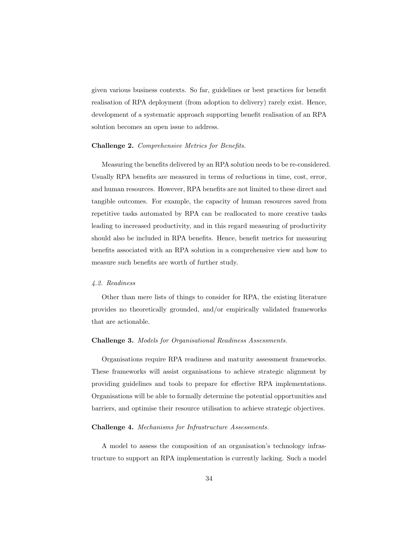given various business contexts. So far, guidelines or best practices for benefit realisation of RPA deployment (from adoption to delivery) rarely exist. Hence, development of a systematic approach supporting benefit realisation of an RPA solution becomes an open issue to address.

# Challenge 2. Comprehensive Metrics for Benefits.

Measuring the benefits delivered by an RPA solution needs to be re-considered. Usually RPA benefits are measured in terms of reductions in time, cost, error, and human resources. However, RPA benefits are not limited to these direct and tangible outcomes. For example, the capacity of human resources saved from repetitive tasks automated by RPA can be reallocated to more creative tasks leading to increased productivity, and in this regard measuring of productivity should also be included in RPA benefits. Hence, benefit metrics for measuring benefits associated with an RPA solution in a comprehensive view and how to measure such benefits are worth of further study.

# 4.2. Readiness

Other than mere lists of things to consider for RPA, the existing literature provides no theoretically grounded, and/or empirically validated frameworks that are actionable.

#### Challenge 3. Models for Organisational Readiness Assessments.

Organisations require RPA readiness and maturity assessment frameworks. These frameworks will assist organisations to achieve strategic alignment by providing guidelines and tools to prepare for effective RPA implementations. Organisations will be able to formally determine the potential opportunities and barriers, and optimise their resource utilisation to achieve strategic objectives.

# Challenge 4. Mechanisms for Infrastructure Assessments.

A model to assess the composition of an organisation's technology infrastructure to support an RPA implementation is currently lacking. Such a model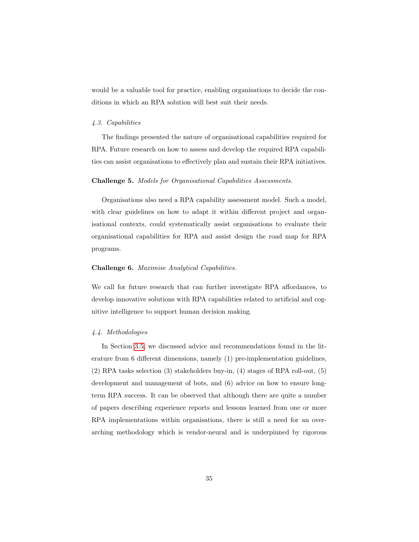would be a valuable tool for practice, enabling organisations to decide the conditions in which an RPA solution will best suit their needs.

#### 4.3. Capabilities

The findings presented the nature of organisational capabilities required for RPA. Future research on how to assess and develop the required RPA capabilities can assist organisations to effectively plan and sustain their RPA initiatives.

### Challenge 5. Models for Organisational Capabilities Assessments.

Organisations also need a RPA capability assessment model. Such a model, with clear guidelines on how to adapt it within different project and organisational contexts, could systematically assist organisations to evaluate their organisational capabilities for RPA and assist design the road map for RPA programs.

# Challenge 6. Maximise Analytical Capabilities.

We call for future research that can further investigate RPA affordances, to develop innovative solutions with RPA capabilities related to artificial and cognitive intelligence to support human decision making.

# 4.4. Methodologies

In Section [3.5,](#page-19-0) we discussed advice and recommendations found in the literature from 6 different dimensions, namely (1) pre-implementation guidelines, (2) RPA tasks selection (3) stakeholders buy-in, (4) stages of RPA roll-out, (5) development and management of bots, and (6) advice on how to ensure longterm RPA success. It can be observed that although there are quite a number of papers describing experience reports and lessons learned from one or more RPA implementations within organisations, there is still a need for an overarching methodology which is vendor-neural and is underpinned by rigorous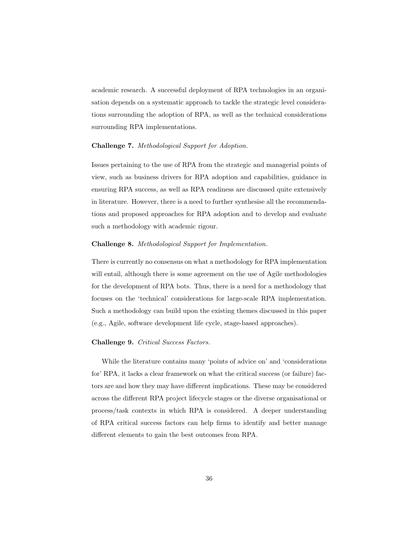academic research. A successful deployment of RPA technologies in an organisation depends on a systematic approach to tackle the strategic level considerations surrounding the adoption of RPA, as well as the technical considerations surrounding RPA implementations.

# Challenge 7. Methodological Support for Adoption.

Issues pertaining to the use of RPA from the strategic and managerial points of view, such as business drivers for RPA adoption and capabilities, guidance in ensuring RPA success, as well as RPA readiness are discussed quite extensively in literature. However, there is a need to further synthesise all the recommendations and proposed approaches for RPA adoption and to develop and evaluate such a methodology with academic rigour.

# Challenge 8. Methodological Support for Implementation.

There is currently no consensus on what a methodology for RPA implementation will entail, although there is some agreement on the use of Agile methodologies for the development of RPA bots. Thus, there is a need for a methodology that focuses on the 'technical' considerations for large-scale RPA implementation. Such a methodology can build upon the existing themes discussed in this paper (e.g., Agile, software development life cycle, stage-based approaches).

# Challenge 9. Critical Success Factors.

While the literature contains many 'points of advice on' and 'considerations for' RPA, it lacks a clear framework on what the critical success (or failure) factors are and how they may have different implications. These may be considered across the different RPA project lifecycle stages or the diverse organisational or process/task contexts in which RPA is considered. A deeper understanding of RPA critical success factors can help firms to identify and better manage different elements to gain the best outcomes from RPA.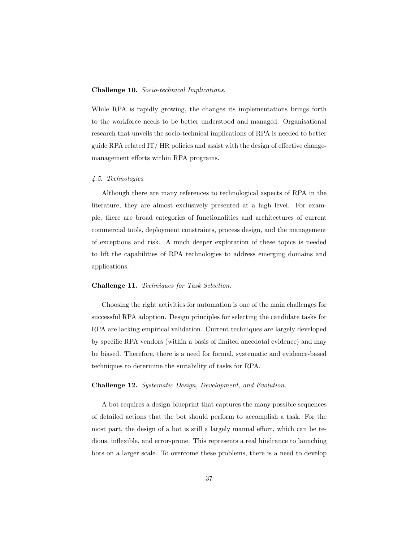# Challenge 10. Socio-technical Implications.

While RPA is rapidly growing, the changes its implementations brings forth to the workforce needs to be better understood and managed. Organisational research that unveils the socio-technical implications of RPA is needed to better guide RPA related IT/ HR policies and assist with the design of effective changemanagement efforts within RPA programs.

#### 4.5. Technologies

Although there are many references to technological aspects of RPA in the literature, they are almost exclusively presented at a high level. For example, there are broad categories of functionalities and architectures of current commercial tools, deployment constraints, process design, and the management of exceptions and risk. A much deeper exploration of these topics is needed to lift the capabilities of RPA technologies to address emerging domains and applications.

# Challenge 11. Techniques for Task Selection.

Choosing the right activities for automation is one of the main challenges for successful RPA adoption. Design principles for selecting the candidate tasks for RPA are lacking empirical validation. Current techniques are largely developed by specific RPA vendors (within a basis of limited anecdotal evidence) and may be biased. Therefore, there is a need for formal, systematic and evidence-based techniques to determine the suitability of tasks for RPA.

# Challenge 12. Systematic Design, Development, and Evolution.

A bot requires a design blueprint that captures the many possible sequences of detailed actions that the bot should perform to accomplish a task. For the most part, the design of a bot is still a largely manual effort, which can be tedious, inflexible, and error-prone. This represents a real hindrance to launching bots on a larger scale. To overcome these problems, there is a need to develop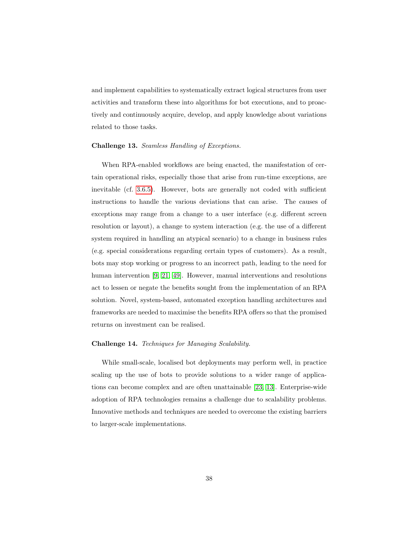and implement capabilities to systematically extract logical structures from user activities and transform these into algorithms for bot executions, and to proactively and continuously acquire, develop, and apply knowledge about variations related to those tasks.

### Challenge 13. Seamless Handling of Exceptions.

When RPA-enabled workflows are being enacted, the manifestation of certain operational risks, especially those that arise from run-time exceptions, are inevitable (cf. [3.6.5\)](#page-28-0). However, bots are generally not coded with sufficient instructions to handle the various deviations that can arise. The causes of exceptions may range from a change to a user interface (e.g. different screen resolution or layout), a change to system interaction (e.g. the use of a different system required in handling an atypical scenario) to a change in business rules (e.g. special considerations regarding certain types of customers). As a result, bots may stop working or progress to an incorrect path, leading to the need for human intervention [\[9,](#page-39-8) [21,](#page-41-2) [49\]](#page-44-0). However, manual interventions and resolutions act to lessen or negate the benefits sought from the implementation of an RPA solution. Novel, system-based, automated exception handling architectures and frameworks are needed to maximise the benefits RPA offers so that the promised returns on investment can be realised.

#### Challenge 14. Techniques for Managing Scalability.

While small-scale, localised bot deployments may perform well, in practice scaling up the use of bots to provide solutions to a wider range of applications can become complex and are often unattainable [\[23,](#page-41-4) [13\]](#page-40-3). Enterprise-wide adoption of RPA technologies remains a challenge due to scalability problems. Innovative methods and techniques are needed to overcome the existing barriers to larger-scale implementations.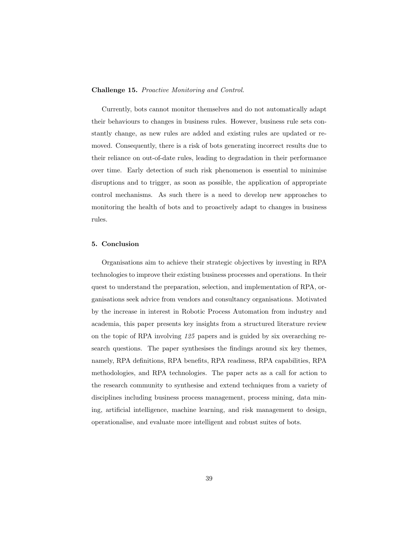# Challenge 15. Proactive Monitoring and Control.

Currently, bots cannot monitor themselves and do not automatically adapt their behaviours to changes in business rules. However, business rule sets constantly change, as new rules are added and existing rules are updated or removed. Consequently, there is a risk of bots generating incorrect results due to their reliance on out-of-date rules, leading to degradation in their performance over time. Early detection of such risk phenomenon is essential to minimise disruptions and to trigger, as soon as possible, the application of appropriate control mechanisms. As such there is a need to develop new approaches to monitoring the health of bots and to proactively adapt to changes in business rules.

# <span id="page-38-0"></span>5. Conclusion

Organisations aim to achieve their strategic objectives by investing in RPA technologies to improve their existing business processes and operations. In their quest to understand the preparation, selection, and implementation of RPA, organisations seek advice from vendors and consultancy organisations. Motivated by the increase in interest in Robotic Process Automation from industry and academia, this paper presents key insights from a structured literature review on the topic of RPA involving 125 papers and is guided by six overarching research questions. The paper synthesises the findings around six key themes, namely, RPA definitions, RPA benefits, RPA readiness, RPA capabilities, RPA methodologies, and RPA technologies. The paper acts as a call for action to the research community to synthesise and extend techniques from a variety of disciplines including business process management, process mining, data mining, artificial intelligence, machine learning, and risk management to design, operationalise, and evaluate more intelligent and robust suites of bots.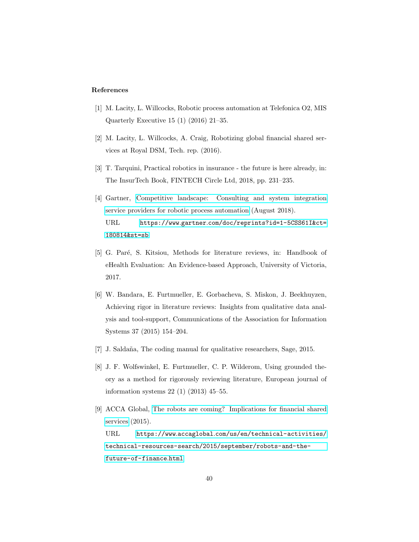#### References

- <span id="page-39-0"></span>[1] M. Lacity, L. Willcocks, Robotic process automation at Telefonica O2, MIS Quarterly Executive 15 (1) (2016) 21–35.
- <span id="page-39-1"></span>[2] M. Lacity, L. Willcocks, A. Craig, Robotizing global financial shared services at Royal DSM, Tech. rep. (2016).
- <span id="page-39-2"></span>[3] T. Tarquini, Practical robotics in insurance - the future is here already, in: The InsurTech Book, FINTECH Circle Ltd, 2018, pp. 231–235.
- <span id="page-39-3"></span>[4] Gartner, [Competitive landscape: Consulting and system integration](https://www.gartner.com/doc/reprints?id=1-5CSS61I&ct=180814&st=sb) [service providers for robotic process automation](https://www.gartner.com/doc/reprints?id=1-5CSS61I&ct=180814&st=sb) (August 2018). URL https://www.gartner.[com/doc/reprints?id=1-5CSS61I&ct=](https://www.gartner.com/doc/reprints?id=1-5CSS61I&ct=180814&st=sb) [180814&st=sb](https://www.gartner.com/doc/reprints?id=1-5CSS61I&ct=180814&st=sb)
- <span id="page-39-4"></span>[5] G. Paré, S. Kitsiou, Methods for literature reviews, in: Handbook of eHealth Evaluation: An Evidence-based Approach, University of Victoria, 2017.
- <span id="page-39-5"></span>[6] W. Bandara, E. Furtmueller, E. Gorbacheva, S. Miskon, J. Beekhuyzen, Achieving rigor in literature reviews: Insights from qualitative data analysis and tool-support, Communications of the Association for Information Systems 37 (2015) 154–204.
- <span id="page-39-6"></span>[7] J. Saldaña, The coding manual for qualitative researchers, Sage, 2015.
- <span id="page-39-7"></span>[8] J. F. Wolfswinkel, E. Furtmueller, C. P. Wilderom, Using grounded theory as a method for rigorously reviewing literature, European journal of information systems 22 (1) (2013) 45–55.
- <span id="page-39-8"></span>[9] ACCA Global, [The robots are coming? Implications for financial shared](https://www.accaglobal.com/us/en/technical-activities/technical-resources-search/2015/september/robots-and-the-future-of-finance.html) [services](https://www.accaglobal.com/us/en/technical-activities/technical-resources-search/2015/september/robots-and-the-future-of-finance.html) (2015). URL https://www.accaglobal.[com/us/en/technical-activities/](https://www.accaglobal.com/us/en/technical-activities/technical-resources-search/2015/september/robots-and-the-future-of-finance.html) [technical-resources-search/2015/september/robots-and-the](https://www.accaglobal.com/us/en/technical-activities/technical-resources-search/2015/september/robots-and-the-future-of-finance.html)[future-of-finance](https://www.accaglobal.com/us/en/technical-activities/technical-resources-search/2015/september/robots-and-the-future-of-finance.html).html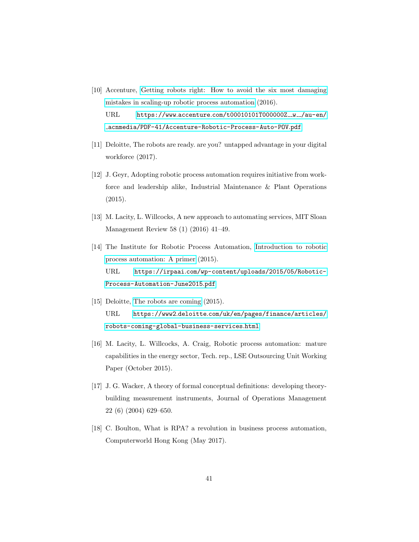- <span id="page-40-0"></span>[10] Accenture, [Getting robots right: How to avoid the six most damaging](https://www.accenture.com/t00010101T000000Z__w__/au-en/_acnmedia/PDF-41/Accenture-Robotic-Process-Auto-POV.pdf) [mistakes in scaling-up robotic process automation](https://www.accenture.com/t00010101T000000Z__w__/au-en/_acnmedia/PDF-41/Accenture-Robotic-Process-Auto-POV.pdf) (2016).  $URL$  https://www.accenture.[com/t00010101T000000Z](https://www.accenture.com/t00010101T000000Z__w__/au-en/_acnmedia/PDF-41/Accenture-Robotic-Process-Auto-POV.pdf)\_w\_/au-en/ [acnmedia/PDF-41/Accenture-Robotic-Process-Auto-POV](https://www.accenture.com/t00010101T000000Z__w__/au-en/_acnmedia/PDF-41/Accenture-Robotic-Process-Auto-POV.pdf).pdf
- <span id="page-40-1"></span>[11] Deloitte, The robots are ready. are you? untapped advantage in your digital workforce (2017).
- <span id="page-40-2"></span>[12] J. Geyr, Adopting robotic process automation requires initiative from workforce and leadership alike, Industrial Maintenance & Plant Operations (2015).
- <span id="page-40-3"></span>[13] M. Lacity, L. Willcocks, A new approach to automating services, MIT Sloan Management Review 58 (1) (2016) 41–49.
- <span id="page-40-4"></span>[14] The Institute for Robotic Process Automation, [Introduction to robotic](https://irpaai.com/wp-content/uploads/2015/05/Robotic-Process-Automation-June2015.pdf) [process automation: A primer](https://irpaai.com/wp-content/uploads/2015/05/Robotic-Process-Automation-June2015.pdf) (2015). URL https://irpaai.[com/wp-content/uploads/2015/05/Robotic-](https://irpaai.com/wp-content/uploads/2015/05/Robotic-Process-Automation-June2015.pdf)[Process-Automation-June2015](https://irpaai.com/wp-content/uploads/2015/05/Robotic-Process-Automation-June2015.pdf).pdf
- <span id="page-40-5"></span>[15] Deloitte, [The robots are coming](https://www2.deloitte.com/uk/en/pages/finance/articles/robots-coming-global-business-services.html)  $(2015)$ . URL https://www2.deloitte.[com/uk/en/pages/finance/articles/](https://www2.deloitte.com/uk/en/pages/finance/articles/robots-coming-global-business-services.html) [robots-coming-global-business-services](https://www2.deloitte.com/uk/en/pages/finance/articles/robots-coming-global-business-services.html).html
- <span id="page-40-6"></span>[16] M. Lacity, L. Willcocks, A. Craig, Robotic process automation: mature capabilities in the energy sector, Tech. rep., LSE Outsourcing Unit Working Paper (October 2015).
- <span id="page-40-7"></span>[17] J. G. Wacker, A theory of formal conceptual definitions: developing theorybuilding measurement instruments, Journal of Operations Management 22 (6) (2004) 629–650.
- <span id="page-40-8"></span>[18] C. Boulton, What is RPA? a revolution in business process automation, Computerworld Hong Kong (May 2017).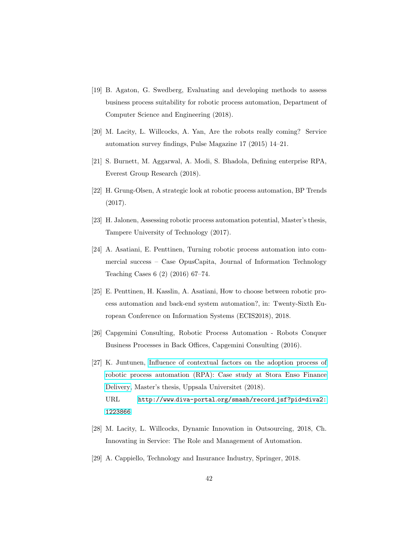- <span id="page-41-0"></span>[19] B. Agaton, G. Swedberg, Evaluating and developing methods to assess business process suitability for robotic process automation, Department of Computer Science and Engineering (2018).
- <span id="page-41-1"></span>[20] M. Lacity, L. Willcocks, A. Yan, Are the robots really coming? Service automation survey findings, Pulse Magazine 17 (2015) 14–21.
- <span id="page-41-2"></span>[21] S. Burnett, M. Aggarwal, A. Modi, S. Bhadola, Defining enterprise RPA, Everest Group Research (2018).
- <span id="page-41-3"></span>[22] H. Grung-Olsen, A strategic look at robotic process automation, BP Trends (2017).
- <span id="page-41-4"></span>[23] H. Jalonen, Assessing robotic process automation potential, Master's thesis, Tampere University of Technology (2017).
- <span id="page-41-5"></span>[24] A. Asatiani, E. Penttinen, Turning robotic process automation into commercial success – Case OpusCapita, Journal of Information Technology Teaching Cases 6 (2) (2016) 67–74.
- <span id="page-41-6"></span>[25] E. Penttinen, H. Kasslin, A. Asatiani, How to choose between robotic process automation and back-end system automation?, in: Twenty-Sixth European Conference on Information Systems (ECIS2018), 2018.
- <span id="page-41-7"></span>[26] Capgemini Consulting, Robotic Process Automation - Robots Conquer Business Processes in Back Offices, Capgemini Consulting (2016).
- <span id="page-41-8"></span>[27] K. Juntunen, [Influence of contextual factors on the adoption process of](http://www.diva-portal.org/smash/record.jsf?pid=diva2:1223866) [robotic process automation \(RPA\): Case study at Stora Enso Finance](http://www.diva-portal.org/smash/record.jsf?pid=diva2:1223866) [Delivery,](http://www.diva-portal.org/smash/record.jsf?pid=diva2:1223866) Master's thesis, Uppsala Universitet (2018). URL http://www.diva-portal.[org/smash/record](http://www.diva-portal.org/smash/record.jsf?pid=diva2:1223866).jsf?pid=diva2: [1223866](http://www.diva-portal.org/smash/record.jsf?pid=diva2:1223866)
- <span id="page-41-9"></span>[28] M. Lacity, L. Willcocks, Dynamic Innovation in Outsourcing, 2018, Ch. Innovating in Service: The Role and Management of Automation.
- <span id="page-41-10"></span>[29] A. Cappiello, Technology and Insurance Industry, Springer, 2018.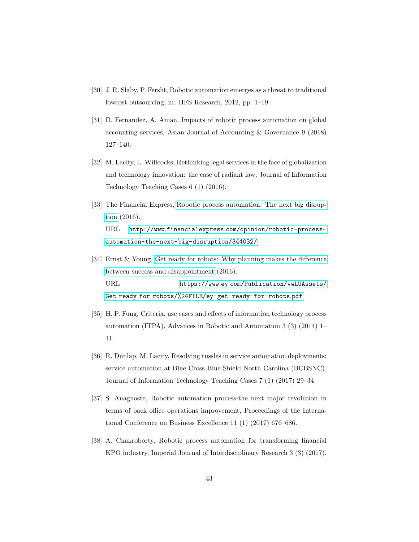- <span id="page-42-0"></span>[30] J. R. Slaby, P. Fersht, Robotic automation emerges as a threat to traditional lowcost outsourcing, in: HFS Research, 2012, pp. 1–19.
- <span id="page-42-1"></span>[31] D. Fernandez, A. Aman, Impacts of robotic process automation on global accounting services, Asian Journal of Accounting & Governance 9 (2018) 127–140.
- <span id="page-42-2"></span>[32] M. Lacity, L. Willcocks, Rethinking legal services in the face of globalization and technology innovation: the case of radiant law, Journal of Information Technology Teaching Cases 6 (1) (2016).
- <span id="page-42-3"></span>[33] The Financial Express, [Robotic process automation: The next big disrup](http://www.financialexpress.com/opinion/robotic-process-automation-the-next-big-disruption/344032/)[tion](http://www.financialexpress.com/opinion/robotic-process-automation-the-next-big-disruption/344032/) (2016). URL http://www.financialexpress.[com/opinion/robotic-process](http://www.financialexpress.com/opinion/robotic-process-automation-the-next-big-disruption/344032/)[automation-the-next-big-disruption/344032/](http://www.financialexpress.com/opinion/robotic-process-automation-the-next-big-disruption/344032/)
- <span id="page-42-4"></span>[34] Ernst & Young, [Get ready for robots: Why planning makes the difference](https://www.ey.com/Publication/vwLUAssets/Get_ready_for_robots/%24FILE/ey-get-ready-for-robots.pdf) [between success and disappointment](https://www.ey.com/Publication/vwLUAssets/Get_ready_for_robots/%24FILE/ey-get-ready-for-robots.pdf) (2016). URL https://www.ey.[com/Publication/vwLUAssets/](https://www.ey.com/Publication/vwLUAssets/Get_ready_for_robots/%24FILE/ey-get-ready-for-robots.pdf) Get ready for [robots/%24FILE/ey-get-ready-for-robots](https://www.ey.com/Publication/vwLUAssets/Get_ready_for_robots/%24FILE/ey-get-ready-for-robots.pdf).pdf
- <span id="page-42-5"></span>[35] H. P. Fung, Criteria, use cases and effects of information technology process automation (ITPA), Advances in Robotic and Automation 3 (3) (2014) 1– 11.
- <span id="page-42-6"></span>[36] R. Dunlap, M. Lacity, Resolving tussles in service automation deployments: service automation at Blue Cross Blue Shield North Carolina (BCBSNC), Journal of Information Technology Teaching Cases 7 (1) (2017) 29–34.
- <span id="page-42-7"></span>[37] S. Anagnoste, Robotic automation process-the next major revolution in terms of back office operations improvement, Proceedings of the International Conference on Business Excellence 11 (1) (2017) 676–686.
- <span id="page-42-8"></span>[38] A. Chakroborty, Robotic process automation for transforming financial KPO industry, Imperial Journal of Interdisciplinary Research 3 (3) (2017).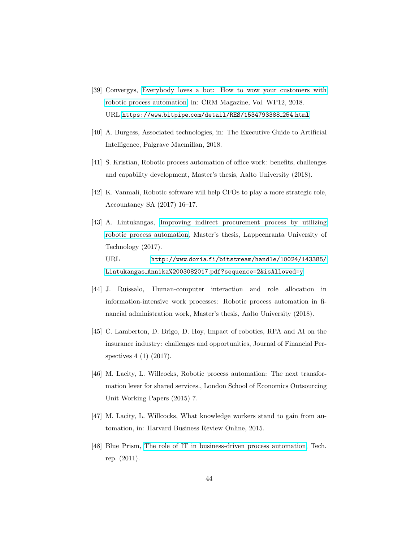- <span id="page-43-0"></span>[39] Convergys, [Everybody loves a bot: How to wow your customers with](https://www.bitpipe.com/detail/RES/1534793388_254.html) [robotic process automation,](https://www.bitpipe.com/detail/RES/1534793388_254.html) in: CRM Magazine, Vol. WP12, 2018. URL https://www.bitpipe.[com/detail/RES/1534793388](https://www.bitpipe.com/detail/RES/1534793388_254.html) 254.html
- <span id="page-43-1"></span>[40] A. Burgess, Associated technologies, in: The Executive Guide to Artificial Intelligence, Palgrave Macmillan, 2018.
- <span id="page-43-2"></span>[41] S. Kristian, Robotic process automation of office work: benefits, challenges and capability development, Master's thesis, Aalto University (2018).
- <span id="page-43-3"></span>[42] K. Vanmali, Robotic software will help CFOs to play a more strategic role, Accountancy SA (2017) 16–17.
- <span id="page-43-4"></span>[43] A. Lintukangas, [Improving indirect procurement process by utilizing](http://www.doria.fi/bitstream/handle/10024/143385/Lintukangas_Annika%2003082017.pdf?sequence=2&isAllowed=y) [robotic process automation,](http://www.doria.fi/bitstream/handle/10024/143385/Lintukangas_Annika%2003082017.pdf?sequence=2&isAllowed=y) Master's thesis, Lappeenranta University of Technology (2017). URL http://www.doria.[fi/bitstream/handle/10024/143385/](http://www.doria.fi/bitstream/handle/10024/143385/Lintukangas_Annika%2003082017.pdf?sequence=2&isAllowed=y) Lintukangas Annika%2003082017.[pdf?sequence=2&isAllowed=y](http://www.doria.fi/bitstream/handle/10024/143385/Lintukangas_Annika%2003082017.pdf?sequence=2&isAllowed=y)
- <span id="page-43-5"></span>[44] J. Ruissalo, Human-computer interaction and role allocation in information-intensive work processes: Robotic process automation in financial administration work, Master's thesis, Aalto University (2018).
- <span id="page-43-6"></span>[45] C. Lamberton, D. Brigo, D. Hoy, Impact of robotics, RPA and AI on the insurance industry: challenges and opportunities, Journal of Financial Perspectives 4 (1) (2017).
- <span id="page-43-7"></span>[46] M. Lacity, L. Willcocks, Robotic process automation: The next transformation lever for shared services., London School of Economics Outsourcing Unit Working Papers (2015) 7.
- <span id="page-43-8"></span>[47] M. Lacity, L. Willcocks, What knowledge workers stand to gain from automation, in: Harvard Business Review Online, 2015.
- <span id="page-43-9"></span>[48] Blue Prism, [The role of IT in business-driven process automation,](https://www.blueprism.com/wpapers/forrester-report-role-business-driven-process-automation) Tech. rep. (2011).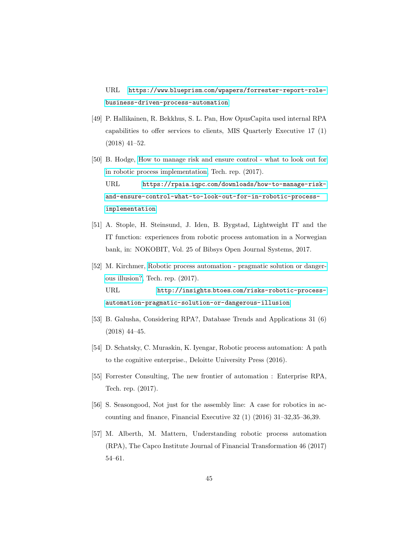URL https://www.blueprism.[com/wpapers/forrester-report-role](https://www.blueprism.com/wpapers/forrester-report-role-business-driven-process-automation)[business-driven-process-automation](https://www.blueprism.com/wpapers/forrester-report-role-business-driven-process-automation)

- <span id="page-44-0"></span>[49] P. Hallikainen, R. Bekkhus, S. L. Pan, How OpusCapita used internal RPA capabilities to offer services to clients, MIS Quarterly Executive 17 (1) (2018) 41–52.
- <span id="page-44-1"></span>[50] B. Hodge, [How to manage risk and ensure control - what to look out for](https://rpaia.iqpc.com/downloads/how-to-manage-risk-and-ensure-control-what-to-look-out-for-in-robotic-process-implementation) [in robotic process implementation,](https://rpaia.iqpc.com/downloads/how-to-manage-risk-and-ensure-control-what-to-look-out-for-in-robotic-process-implementation) Tech. rep. (2017). URL https://rpaia.iqpc.[com/downloads/how-to-manage-risk](https://rpaia.iqpc.com/downloads/how-to-manage-risk-and-ensure-control-what-to-look-out-for-in-robotic-process-implementation)[and-ensure-control-what-to-look-out-for-in-robotic-process](https://rpaia.iqpc.com/downloads/how-to-manage-risk-and-ensure-control-what-to-look-out-for-in-robotic-process-implementation)[implementation](https://rpaia.iqpc.com/downloads/how-to-manage-risk-and-ensure-control-what-to-look-out-for-in-robotic-process-implementation)
- <span id="page-44-2"></span>[51] A. Stople, H. Steinsund, J. Iden, B. Bygstad, Lightweight IT and the IT function: experiences from robotic process automation in a Norwegian bank, in: NOKOBIT, Vol. 25 of Bibsys Open Journal Systems, 2017.
- <span id="page-44-3"></span>[52] M. Kirchmer, [Robotic process automation - pragmatic solution or danger](http://insights.btoes.com/risks-robotic-process-automation-pragmatic-solution-or-dangerous-illusion)[ous illusion?,](http://insights.btoes.com/risks-robotic-process-automation-pragmatic-solution-or-dangerous-illusion) Tech. rep. (2017). URL http://insights.btoes.[com/risks-robotic-process](http://insights.btoes.com/risks-robotic-process-automation-pragmatic-solution-or-dangerous-illusion)[automation-pragmatic-solution-or-dangerous-illusion](http://insights.btoes.com/risks-robotic-process-automation-pragmatic-solution-or-dangerous-illusion)
- <span id="page-44-4"></span>[53] B. Galusha, Considering RPA?, Database Trends and Applications 31 (6) (2018) 44–45.
- <span id="page-44-5"></span>[54] D. Schatsky, C. Muraskin, K. Iyengar, Robotic process automation: A path to the cognitive enterprise., Deloitte University Press (2016).
- <span id="page-44-6"></span>[55] Forrester Consulting, The new frontier of automation : Enterprise RPA, Tech. rep. (2017).
- <span id="page-44-7"></span>[56] S. Seasongood, Not just for the assembly line: A case for robotics in accounting and finance, Financial Executive 32 (1) (2016) 31–32,35–36,39.
- <span id="page-44-8"></span>[57] M. Alberth, M. Mattern, Understanding robotic process automation (RPA), The Capco Institute Journal of Financial Transformation 46 (2017) 54–61.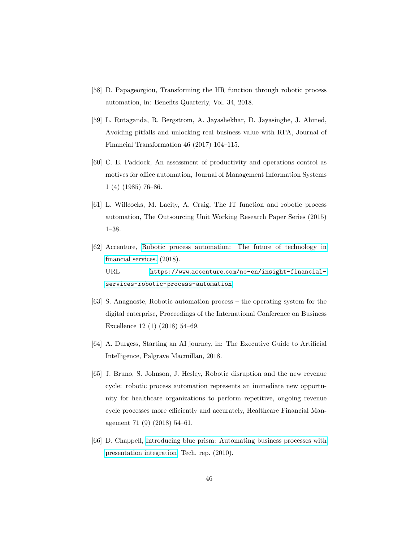- <span id="page-45-0"></span>[58] D. Papageorgiou, Transforming the HR function through robotic process automation, in: Benefits Quarterly, Vol. 34, 2018.
- <span id="page-45-1"></span>[59] L. Rutaganda, R. Bergstrom, A. Jayashekhar, D. Jayasinghe, J. Ahmed, Avoiding pitfalls and unlocking real business value with RPA, Journal of Financial Transformation 46 (2017) 104–115.
- <span id="page-45-2"></span>[60] C. E. Paddock, An assessment of productivity and operations control as motives for office automation, Journal of Management Information Systems 1 (4) (1985) 76–86.
- <span id="page-45-3"></span>[61] L. Willcocks, M. Lacity, A. Craig, The IT function and robotic process automation, The Outsourcing Unit Working Research Paper Series (2015) 1–38.
- <span id="page-45-4"></span>[62] Accenture, [Robotic process automation: The future of technology in](https://www.accenture.com/no-en/insight-financial-services-robotic-process-automation) [financial services.](https://www.accenture.com/no-en/insight-financial-services-robotic-process-automation) (2018). URL https://www.accenture.[com/no-en/insight-financial](https://www.accenture.com/no-en/insight-financial-services-robotic-process-automation)[services-robotic-process-automation](https://www.accenture.com/no-en/insight-financial-services-robotic-process-automation)
- <span id="page-45-5"></span>[63] S. Anagnoste, Robotic automation process – the operating system for the digital enterprise, Proceedings of the International Conference on Business Excellence 12 (1) (2018) 54–69.
- <span id="page-45-6"></span>[64] A. Durgess, Starting an AI journey, in: The Executive Guide to Artificial Intelligence, Palgrave Macmillan, 2018.
- <span id="page-45-7"></span>[65] J. Bruno, S. Johnson, J. Hesley, Robotic disruption and the new revenue cycle: robotic process automation represents an immediate new opportunity for healthcare organizations to perform repetitive, ongoing revenue cycle processes more efficiently and accurately, Healthcare Financial Management 71 (9) (2018) 54–61.
- <span id="page-45-8"></span>[66] D. Chappell, [Introducing blue prism: Automating business processes with](http://www.davidchappell.com/writing/white_papers/Introducing_Blue_Prism_v1.0-Chappell.pdf) [presentation integration,](http://www.davidchappell.com/writing/white_papers/Introducing_Blue_Prism_v1.0-Chappell.pdf) Tech. rep. (2010).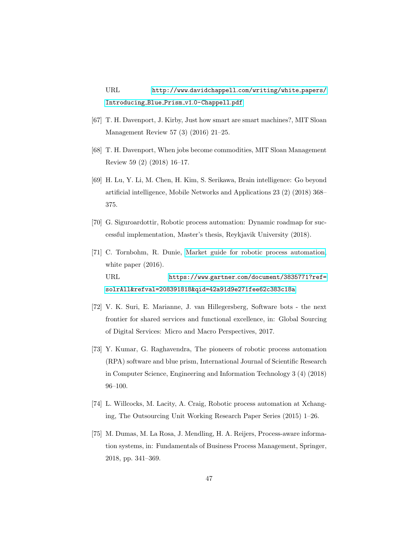URL http://www.davidchappell.[com/writing/white](http://www.davidchappell.com/writing/white_papers/Introducing_Blue_Prism_v1.0-Chappell.pdf) papers/ [Introducing](http://www.davidchappell.com/writing/white_papers/Introducing_Blue_Prism_v1.0-Chappell.pdf) Blue Prism v1.0-Chappell.pdf

- <span id="page-46-0"></span>[67] T. H. Davenport, J. Kirby, Just how smart are smart machines?, MIT Sloan Management Review 57 (3) (2016) 21–25.
- <span id="page-46-1"></span>[68] T. H. Davenport, When jobs become commodities, MIT Sloan Management Review 59 (2) (2018) 16–17.
- <span id="page-46-2"></span>[69] H. Lu, Y. Li, M. Chen, H. Kim, S. Serikawa, Brain intelligence: Go beyond artificial intelligence, Mobile Networks and Applications 23 (2) (2018) 368– 375.
- <span id="page-46-3"></span>[70] G. Siguroardottir, Robotic process automation: Dynamic roadmap for successful implementation, Master's thesis, Reykjavik University (2018).
- <span id="page-46-4"></span>[71] C. Tornbohm, R. Dunie, [Market guide for robotic process automation,](https://www.gartner.com/document/3835771?ref=solrAll&refval=208391818&qid=42a91d9e271fee62c383c18a) white paper  $(2016)$ . URL https://www.gartner.[com/document/3835771?ref=](https://www.gartner.com/document/3835771?ref=solrAll&refval=208391818&qid=42a91d9e271fee62c383c18a) [solrAll&refval=208391818&qid=42a91d9e271fee62c383c18a](https://www.gartner.com/document/3835771?ref=solrAll&refval=208391818&qid=42a91d9e271fee62c383c18a)
- <span id="page-46-5"></span>[72] V. K. Suri, E. Marianne, J. van Hillegersberg, Software bots - the next frontier for shared services and functional excellence, in: Global Sourcing of Digital Services: Micro and Macro Perspectives, 2017.
- <span id="page-46-6"></span>[73] Y. Kumar, G. Raghavendra, The pioneers of robotic process automation (RPA) software and blue prism, International Journal of Scientific Research in Computer Science, Engineering and Information Technology 3 (4) (2018) 96–100.
- <span id="page-46-7"></span>[74] L. Willcocks, M. Lacity, A. Craig, Robotic process automation at Xchanging, The Outsourcing Unit Working Research Paper Series (2015) 1–26.
- <span id="page-46-8"></span>[75] M. Dumas, M. La Rosa, J. Mendling, H. A. Reijers, Process-aware information systems, in: Fundamentals of Business Process Management, Springer, 2018, pp. 341–369.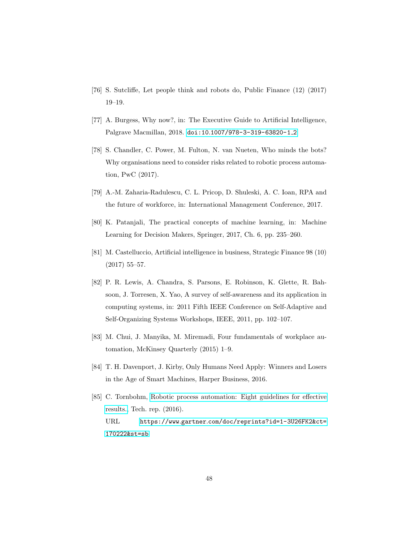- <span id="page-47-0"></span>[76] S. Sutcliffe, Let people think and robots do, Public Finance (12) (2017) 19–19.
- <span id="page-47-1"></span>[77] A. Burgess, Why now?, in: The Executive Guide to Artificial Intelligence, Palgrave Macmillan, 2018. doi:10.[1007/978-3-319-63820-1](http://dx.doi.org/10.1007/978-3-319-63820-1_2) 2.
- <span id="page-47-2"></span>[78] S. Chandler, C. Power, M. Fulton, N. van Nueten, Who minds the bots? Why organisations need to consider risks related to robotic process automation, PwC (2017).
- <span id="page-47-3"></span>[79] A.-M. Zaharia-Radulescu, C. L. Pricop, D. Shuleski, A. C. Ioan, RPA and the future of workforce, in: International Management Conference, 2017.
- <span id="page-47-4"></span>[80] K. Patanjali, The practical concepts of machine learning, in: Machine Learning for Decision Makers, Springer, 2017, Ch. 6, pp. 235–260.
- <span id="page-47-5"></span>[81] M. Castelluccio, Artificial intelligence in business, Strategic Finance 98 (10) (2017) 55–57.
- <span id="page-47-6"></span>[82] P. R. Lewis, A. Chandra, S. Parsons, E. Robinson, K. Glette, R. Bahsoon, J. Torresen, X. Yao, A survey of self-awareness and its application in computing systems, in: 2011 Fifth IEEE Conference on Self-Adaptive and Self-Organizing Systems Workshops, IEEE, 2011, pp. 102–107.
- <span id="page-47-7"></span>[83] M. Chui, J. Manyika, M. Miremadi, Four fundamentals of workplace automation, McKinsey Quarterly (2015) 1–9.
- <span id="page-47-8"></span>[84] T. H. Davenport, J. Kirby, Only Humans Need Apply: Winners and Losers in the Age of Smart Machines, Harper Business, 2016.
- <span id="page-47-9"></span>[85] C. Tornbohm, [Robotic process automation: Eight guidelines for effective](https://www.gartner.com/doc/reprints?id=1-3U26FK2&ct=170222&st=sb) [results.,](https://www.gartner.com/doc/reprints?id=1-3U26FK2&ct=170222&st=sb) Tech. rep. (2016). URL https://www.gartner.[com/doc/reprints?id=1-3U26FK2&ct=](https://www.gartner.com/doc/reprints?id=1-3U26FK2&ct=170222&st=sb) [170222&st=sb](https://www.gartner.com/doc/reprints?id=1-3U26FK2&ct=170222&st=sb)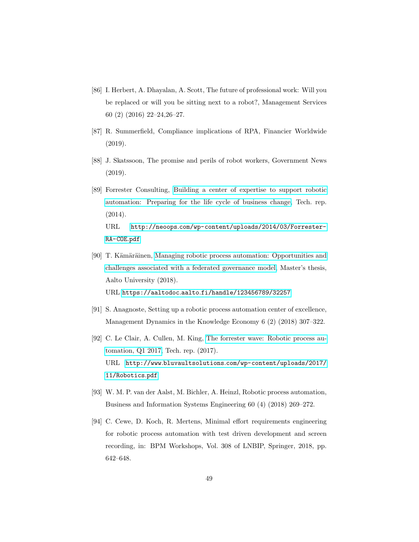- <span id="page-48-0"></span>[86] I. Herbert, A. Dhayalan, A. Scott, The future of professional work: Will you be replaced or will you be sitting next to a robot?, Management Services 60 (2) (2016) 22–24,26–27.
- <span id="page-48-1"></span>[87] R. Summerfield, Compliance implications of RPA, Financier Worldwide (2019).
- <span id="page-48-2"></span>[88] J. Skatssoon, The promise and perils of robot workers, Government News (2019).
- <span id="page-48-3"></span>[89] Forrester Consulting, [Building a center of expertise to support robotic](http://neoops.com/wp-content/uploads/2014/03/Forrester-RA-COE.pdf) [automation: Preparing for the life cycle of business change,](http://neoops.com/wp-content/uploads/2014/03/Forrester-RA-COE.pdf) Tech. rep. (2014). URL http://neoops.[com/wp-content/uploads/2014/03/Forrester-](http://neoops.com/wp-content/uploads/2014/03/Forrester-RA-COE.pdf)[RA-COE](http://neoops.com/wp-content/uploads/2014/03/Forrester-RA-COE.pdf).pdf
- <span id="page-48-4"></span>[90] T. Kämäräinen, [Managing robotic process automation: Opportunities and](https://aaltodoc.aalto.fi/handle/123456789/32257) [challenges associated with a federated governance model,](https://aaltodoc.aalto.fi/handle/123456789/32257) Master's thesis, Aalto University (2018). URL https://aaltodoc.aalto.[fi/handle/123456789/32257](https://aaltodoc.aalto.fi/handle/123456789/32257)
- <span id="page-48-5"></span>[91] S. Anagnoste, Setting up a robotic process automation center of excellence, Management Dynamics in the Knowledge Economy 6 (2) (2018) 307–322.
- <span id="page-48-6"></span>[92] C. Le Clair, A. Cullen, M. King, [The forrester wave: Robotic process au](http://www.bluvaultsolutions.com/wp-content/uploads/2017/11/Robotics.pdf)[tomation, Q1 2017,](http://www.bluvaultsolutions.com/wp-content/uploads/2017/11/Robotics.pdf) Tech. rep. (2017). URL http://www.bluvaultsolutions.[com/wp-content/uploads/2017/](http://www.bluvaultsolutions.com/wp-content/uploads/2017/11/Robotics.pdf) [11/Robotics](http://www.bluvaultsolutions.com/wp-content/uploads/2017/11/Robotics.pdf).pdf
- <span id="page-48-7"></span>[93] W. M. P. van der Aalst, M. Bichler, A. Heinzl, Robotic process automation, Business and Information Systems Engineering 60 (4) (2018) 269–272.
- <span id="page-48-8"></span>[94] C. Cewe, D. Koch, R. Mertens, Minimal effort requirements engineering for robotic process automation with test driven development and screen recording, in: BPM Workshops, Vol. 308 of LNBIP, Springer, 2018, pp. 642–648.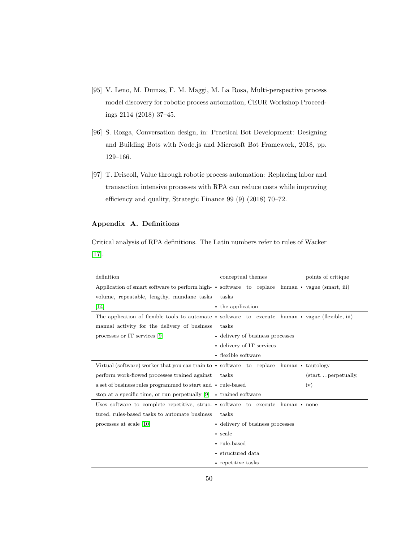- <span id="page-49-1"></span>[95] V. Leno, M. Dumas, F. M. Maggi, M. La Rosa, Multi-perspective process model discovery for robotic process automation, CEUR Workshop Proceedings 2114 (2018) 37–45.
- <span id="page-49-2"></span>[96] S. Rozga, Conversation design, in: Practical Bot Development: Designing and Building Bots with Node.js and Microsoft Bot Framework, 2018, pp. 129–166.
- <span id="page-49-3"></span>[97] T. Driscoll, Value through robotic process automation: Replacing labor and transaction intensive processes with RPA can reduce costs while improving efficiency and quality, Strategic Finance 99 (9) (2018) 70–72.

# <span id="page-49-0"></span>Appendix A. Definitions

Critical analysis of RPA definitions. The Latin numbers refer to rules of Wacker [\[17\]](#page-40-7).

| definition                                                                                          | conceptual themes                | points of critique                        |
|-----------------------------------------------------------------------------------------------------|----------------------------------|-------------------------------------------|
| Application of smart software to perform high- • software to replace human • vague (smart, iii)     |                                  |                                           |
| volume, repeatable, lengthy, mundane tasks                                                          | tasks                            |                                           |
| [14]                                                                                                | • the application                |                                           |
| The application of flexible tools to automate • software to execute human • vague (flexible, iii)   |                                  |                                           |
| manual activity for the delivery of business                                                        | tasks                            |                                           |
| processes or IT services $[9]$                                                                      | • delivery of business processes |                                           |
|                                                                                                     | • delivery of IT services        |                                           |
|                                                                                                     | • flexible software              |                                           |
| Virtual (software) worker that you can train to $\cdot$ software to replace human $\cdot$ tautology |                                  |                                           |
| perform work-flowed processes trained against                                                       | tasks                            | $(\text{start} \dots \text{perpetually},$ |
| a set of business rules programmed to start and • rule-based                                        |                                  | iv)                                       |
| stop at a specific time, or run perpetually $[9] \rightarrow$ trained software                      |                                  |                                           |
| Uses software to complete repetitive, struc- $\bullet$ software to execute human $\bullet$ none     |                                  |                                           |
| tured, rules-based tasks to automate business                                                       | tasks                            |                                           |
| processes at scale [10]                                                                             | • delivery of business processes |                                           |
|                                                                                                     | $\bullet$ scale                  |                                           |
|                                                                                                     | • rule-based                     |                                           |
|                                                                                                     | • structured data                |                                           |
|                                                                                                     | • repetitive tasks               |                                           |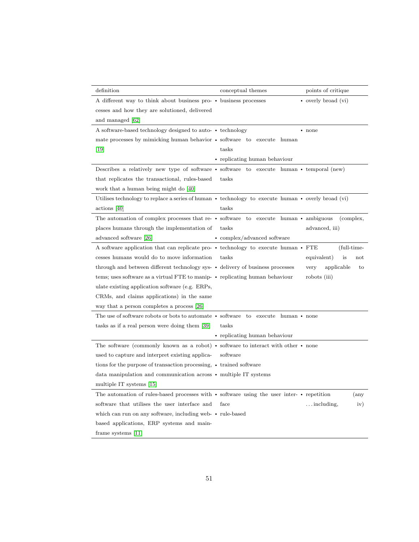| definition                                                                                                 | conceptual themes<br>points of critique                                                                        |
|------------------------------------------------------------------------------------------------------------|----------------------------------------------------------------------------------------------------------------|
| A different way to think about business pro- • business processes                                          | $\bullet$ overly broad (vi)                                                                                    |
| cesses and how they are solutioned, delivered                                                              |                                                                                                                |
| and managed [62]                                                                                           |                                                                                                                |
| A software-based technology designed to auto- • technology                                                 | $\bullet$ none                                                                                                 |
| mate processes by mimicking human behavior • software to execute human                                     |                                                                                                                |
| $[19]$                                                                                                     | tasks                                                                                                          |
|                                                                                                            | • replicating human behaviour                                                                                  |
|                                                                                                            | Describes a relatively new type of software • software to execute human • temporal (new)                       |
| that replicates the transactional, rules-based                                                             | tasks                                                                                                          |
| work that a human being might do [40]                                                                      |                                                                                                                |
|                                                                                                            | Utilises technology to replace a series of human $\cdot$ technology to execute human $\cdot$ overly broad (vi) |
| $\arctions$  40                                                                                            | tasks                                                                                                          |
|                                                                                                            | The automation of complex processes that re- $\cdot$ software to execute human $\cdot$ ambiguous<br>(complex,  |
| places humans through the implementation of                                                                | tasks<br>advanced, iii)                                                                                        |
| advanced software [26]                                                                                     | • complex/advanced software                                                                                    |
| A software application that can replicate pro- $\bullet$ technology to execute human $\bullet$ FTE         | (full-time-                                                                                                    |
| cesses humans would do to move information                                                                 | tasks<br>equivalent)<br>is<br>$_{\rm not}$                                                                     |
| through and between different technology sys- • delivery of business processes                             | applicable<br>very<br>to                                                                                       |
| tems; uses software as a virtual FTE to manip- • replicating human behaviour                               | robots (iii)                                                                                                   |
| ulate existing application software (e.g. ERPs,                                                            |                                                                                                                |
| CRMs, and claims applications) in the same                                                                 |                                                                                                                |
| way that a person completes a process [26]                                                                 |                                                                                                                |
| The use of software robots or bots to automate • software to execute human • none                          |                                                                                                                |
| tasks as if a real person were doing them [39]                                                             | tasks                                                                                                          |
|                                                                                                            | • replicating human behaviour                                                                                  |
| The software (commonly known as a robot) $\bullet$ software to interact with other $\bullet$ none          |                                                                                                                |
| used to capture and interpret existing applica-                                                            | software                                                                                                       |
| tions for the purpose of transaction processing, • trained software                                        |                                                                                                                |
| data manipulation and communication across • multiple IT systems                                           |                                                                                                                |
| multiple IT systems [15]                                                                                   |                                                                                                                |
| The automation of rules-based processes with $\bullet$ software using the user inter- $\bullet$ repetition | $(\text{any})$                                                                                                 |
| software that utilises the user interface and                                                              | $\dots$ including,<br>iv)<br>face                                                                              |
| which can run on any software, including web- • rule-based                                                 |                                                                                                                |
| based applications, ERP systems and main-                                                                  |                                                                                                                |
| frame systems $[11]$                                                                                       |                                                                                                                |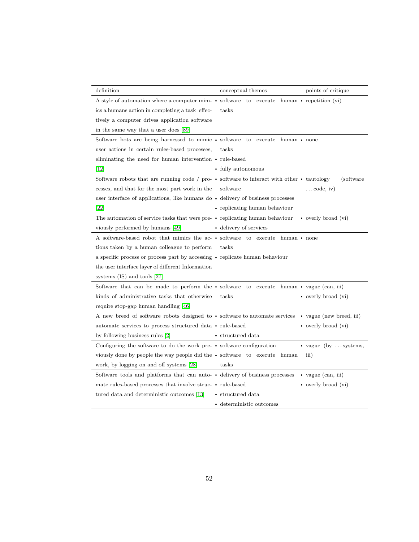| definition                                                                                              | conceptual themes             | points of critique            |
|---------------------------------------------------------------------------------------------------------|-------------------------------|-------------------------------|
| A style of automation where a computer mim- • software to execute human • repetition (vi)               |                               |                               |
| ics a humans action in completing a task effec-                                                         | tasks                         |                               |
| tively a computer drives application software                                                           |                               |                               |
| in the same way that a user does [89]                                                                   |                               |                               |
| Software bots are being harnessed to mimic • software to execute human • none                           |                               |                               |
| user actions in certain rules-based processes,                                                          | tasks                         |                               |
| eliminating the need for human intervention • rule-based                                                |                               |                               |
| 12                                                                                                      | • fully autonomous            |                               |
| Software robots that are running code / pro- $\cdot$ software to interact with other $\cdot$ tautology  |                               | (software)                    |
| cesses, and that for the most part work in the                                                          | software                      | $\ldots$ code, iv)            |
| user interface of applications, like humans do • delivery of business processes                         |                               |                               |
| $\left[ 22\right]$                                                                                      | • replicating human behaviour |                               |
| The automation of service tasks that were pre- • replicating human behaviour                            |                               | • overly broad (vi)           |
| viously performed by humans [49]                                                                        | • delivery of services        |                               |
| A software-based robot that mimics the ac- • software to execute human • none                           |                               |                               |
| tions taken by a human colleague to perform                                                             | tasks                         |                               |
| a specific process or process part by accessing • replicate human behaviour                             |                               |                               |
| the user interface layer of different Information                                                       |                               |                               |
| systems $(IS)$ and tools $[27]$                                                                         |                               |                               |
| Software that can be made to perform the $\bullet$ software to execute human $\bullet$ vague (can, iii) |                               |                               |
| kinds of administrative tasks that otherwise                                                            | tasks                         | • overly broad (vi)           |
| require stop-gap human handling [46]                                                                    |                               |                               |
| A new breed of software robots designed to • software to automate services • vague (new breed, iii)     |                               |                               |
| automate services to process structured data • rule-based                                               |                               | • overly broad (vi)           |
| by following business rules [2]                                                                         | • structured data             |                               |
| Configuring the software to do the work pre- • software configuration                                   |                               | $\bullet$ vague (by  systems, |
| viously done by people the way people did the • software to execute human                               |                               | $\overline{\text{iii}}$       |
| work, by logging on and off systems [28]                                                                | tasks                         |                               |
| Software tools and platforms that can auto- • delivery of business processes                            |                               | $\bullet$ vague (can, iii)    |
| mate rules-based processes that involve struc- • rule-based                                             |                               | • overly broad (vi)           |
| tured data and deterministic outcomes [13]                                                              | • structured data             |                               |
|                                                                                                         | • deterministic outcomes      |                               |
|                                                                                                         |                               |                               |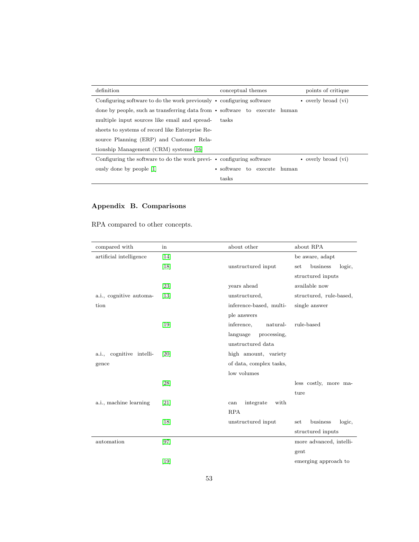| definition                                                                       | conceptual themes           | points of critique  |
|----------------------------------------------------------------------------------|-----------------------------|---------------------|
| Configuring software to do the work previously $\bullet$ configuring software    |                             | • overly broad (vi) |
| done by people, such as transferring data from $\cdot$ software to execute human |                             |                     |
| multiple input sources like email and spread-                                    | tasks                       |                     |
| sheets to systems of record like Enterprise Re-                                  |                             |                     |
| source Planning (ERP) and Customer Rela-                                         |                             |                     |
| tionship Management (CRM) systems [16]                                           |                             |                     |
| Configuring the software to do the work previ- • configuring software            |                             | • overly broad (vi) |
| ously done by people [1]                                                         | • software to execute human |                     |
|                                                                                  | tasks                       |                     |

# <span id="page-52-0"></span>Appendix B. Comparisons

RPA compared to other concepts.

| compared with            | in                | about other              | about RPA                 |
|--------------------------|-------------------|--------------------------|---------------------------|
| artificial intelligence  | [14]              |                          | be aware, adapt           |
|                          | $[18]$            | unstructured input       | business<br>logic,<br>set |
|                          |                   |                          | structured inputs         |
|                          | $\left[23\right]$ | years ahead              | available now             |
| a.i., cognitive automa-  | $[13]$            | unstructured,            | structured, rule-based,   |
| tion                     |                   | inference-based, multi-  | single answer             |
|                          |                   | ple answers              |                           |
|                          | $[19]$            | inference,<br>natural-   | rule-based                |
|                          |                   | language<br>processing,  |                           |
|                          |                   | unstructured data        |                           |
| a.i., cognitive intelli- | [20]              | high amount, variety     |                           |
| gence                    |                   | of data, complex tasks,  |                           |
|                          |                   | low volumes              |                           |
|                          | [28]              |                          | less costly, more ma-     |
|                          |                   |                          | ture                      |
| a.i., machine learning   | $\left[21\right]$ | integrate<br>with<br>can |                           |
|                          |                   | <b>RPA</b>               |                           |
|                          | [18]              | unstructured input       | business<br>logic,<br>set |
|                          |                   |                          | structured inputs         |
| automation               | [97]              |                          | more advanced, intelli-   |
|                          |                   |                          | gent                      |
|                          | [19]              |                          | emerging approach to      |
|                          |                   |                          |                           |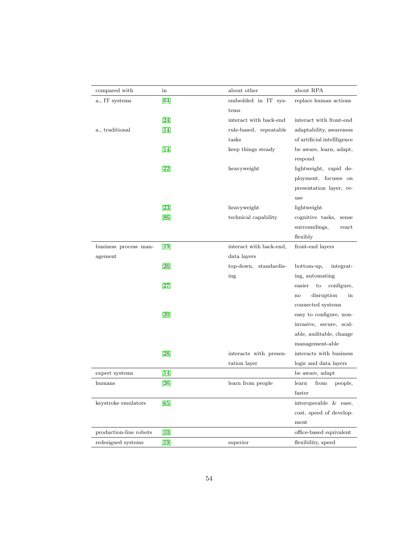| compared with          | in                | about other             | about RPA                   |
|------------------------|-------------------|-------------------------|-----------------------------|
| a., IT systems         | [64]              | embedded in IT sys-     | replace human actions       |
|                        |                   | tems                    |                             |
|                        | $\left[24\right]$ | interact with back-end  | interact with front-end     |
| a., traditional        | 14                | rule-based, repeatable  | adaptability, awareness     |
|                        |                   | tasks                   | of artificial intellligence |
|                        | $[14]$            | keep things steady      | be aware, learn, adapt,     |
|                        |                   |                         | respond                     |
|                        | 22                | heavyweight             | lightweight, rapid de-      |
|                        |                   |                         | ployment, focuses on        |
|                        |                   |                         | presentation layer, re-     |
|                        |                   |                         | use                         |
|                        | 23                | heavyweight             | lightweight                 |
|                        | [86]              | technical capability    | cognitive tasks,<br>sense   |
|                        |                   |                         | surroundings,<br>react      |
|                        |                   |                         | flexibly                    |
| business process man-  | $[19]$            | interact with back-end, | front-end layers            |
| agement                |                   | data layers             |                             |
|                        | [26]              | top-down, standardis-   | bottom-up,<br>integrat-     |
|                        |                   | ing                     | ing, automating             |
|                        | $[27]$            |                         | easier<br>configure,<br>to  |
|                        |                   |                         | disruption<br>in<br>no      |
|                        |                   |                         | connected systems           |
|                        | [20]              |                         | easy to configure, non-     |
|                        |                   |                         | invasive, secure, scal-     |
|                        |                   |                         | able, auditable, change     |
|                        |                   |                         | management-able             |
|                        | $[28]$            | interacts with presen-  | interacts with business     |
|                        |                   | tation layer            | logic and data layers       |
| expert systems         | 14                |                         | be aware, adapt             |
| humans                 | $[26]$            | learn from people       | learn<br>from<br>people,    |
|                        |                   |                         | faster                      |
| keystroke emulators    | [65]              |                         | interoperable & ease,       |
|                        |                   |                         | cost, speed of develop-     |
|                        |                   |                         | ment                        |
| production-line robots | [10]              |                         | office-based equivalent     |
| redesigned systems     | $[19]$            | superior                | flexibility, speed          |